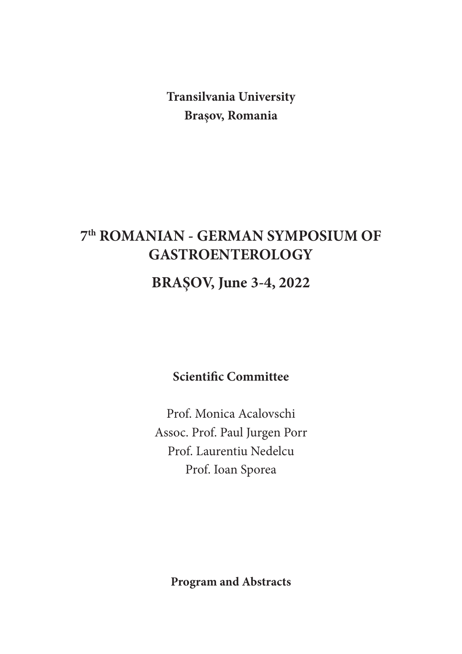**Transilvania University Brașov, Romania**

# **7th ROMANIAN - GERMAN SYMPOSIUM OF GASTROENTEROLOGY**

# **BRAȘOV, June 3-4, 2022**

**Scientific Committee**

Prof. Monica Acalovschi Assoc. Prof. Paul Jurgen Porr Prof. Laurentiu Nedelcu Prof. Ioan Sporea

**Program and Abstracts**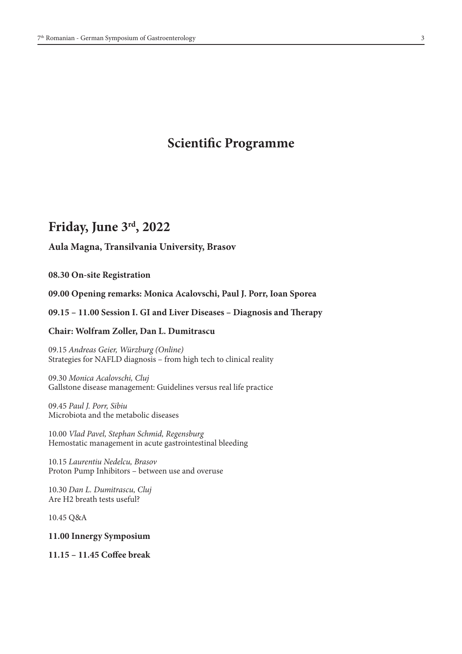# **Scientific Programme**

# **Friday, June 3rd, 2022**

## **Aula Magna, Transilvania University, Brasov**

**08.30 On-site Registration**

## **09.00 Opening remarks: Monica Acalovschi, Paul J. Porr, Ioan Sporea**

## **09.15 – 11.00 Session I. GI and Liver Diseases – Diagnosis and Therapy**

## **Chair: Wolfram Zoller, Dan L. Dumitrascu**

09.15 *Andreas Geier, Würzburg (Online)* Strategies for NAFLD diagnosis – from high tech to clinical reality

09.30 *Monica Acalovschi, Cluj* Gallstone disease management: Guidelines versus real life practice

09.45 *Paul J. Porr, Sibiu*  Microbiota and the metabolic diseases

10.00 *Vlad Pavel, Stephan Schmid, Regensburg* Hemostatic management in acute gastrointestinal bleeding

10.15 *Laurentiu Nedelcu, Brasov* Proton Pump Inhibitors – between use and overuse

10.30 *Dan L. Dumitrascu, Cluj* Are H2 breath tests useful?

10.45 Q&A

**11.00 Innergy Symposium**

**11.15 – 11.45 Coffee break**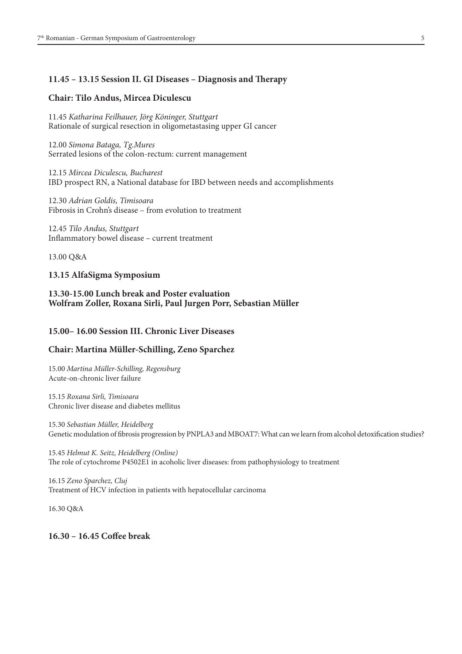## **11.45 – 13.15 Session II. GI Diseases – Diagnosis and Therapy**

### **Chair: Tilo Andus, Mircea Diculescu**

11.45 *Katharina Feilhauer, Jörg Köninger, Stuttgart* Rationale of surgical resection in oligometastasing upper GI cancer

12.00 *Simona Bataga, Tg.Mures* Serrated lesions of the colon-rectum: current management

12.15 *Mircea Diculescu, Bucharest* IBD prospect RN, a National database for IBD between needs and accomplishments

12.30 *Adrian Goldis, Timisoara* Fibrosis in Crohn's disease – from evolution to treatment

12.45 *Tilo Andus, Stuttgart* Inflammatory bowel disease – current treatment

13.00 Q&A

## **13.15 AlfaSigma Symposium**

# **13.30-15.00 Lunch break and Poster evaluation Wolfram Zoller, Roxana Sirli, Paul Jurgen Porr, Sebastian Müller**

## **15.00– 16.00 Session III. Chronic Liver Diseases**

#### **Chair: Martina Müller-Schilling, Zeno Sparchez**

15.00 *Martina Müller-Schilling, Regensburg* Acute-on-chronic liver failure

15.15 *Roxana Sirli, Timisoara* Chronic liver disease and diabetes mellitus

15.30 *Sebastian Müller, Heidelberg* Genetic modulation of fibrosis progression by PNPLA3 and MBOAT7: What can we learn from alcohol detoxification studies?

15.45 *Helmut K. Seitz, Heidelberg (Online)* The role of cytochrome P4502E1 in acoholic liver diseases: from pathophysiology to treatment

16.15 *Zeno Sparchez, Cluj* Treatment of HCV infection in patients with hepatocellular carcinoma

16.30 Q&A

**16.30 – 16.45 Coffee break**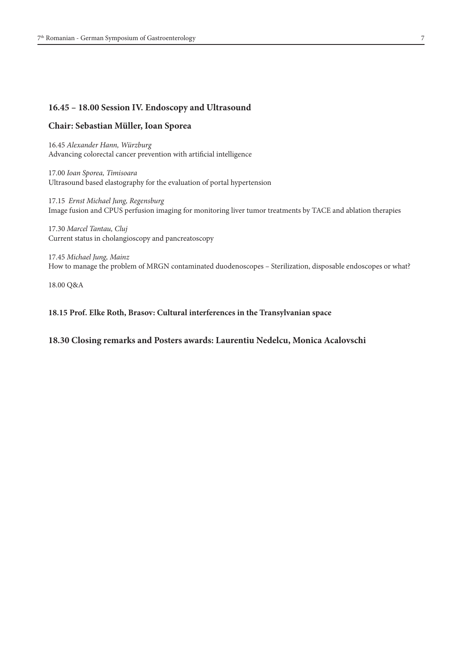# **16.45 – 18.00 Session IV. Endoscopy and Ultrasound**

## **Chair: Sebastian Müller, Ioan Sporea**

16.45 *Alexander Hann, Würzburg* Advancing colorectal cancer prevention with artificial intelligence

17.00 *Ioan Sporea, Timisoara* Ultrasound based elastography for the evaluation of portal hypertension

17.15 *Ernst Michael Jung, Regensburg* Image fusion and CPUS perfusion imaging for monitoring liver tumor treatments by TACE and ablation therapies

17.30 *Marcel Tantau, Cluj* Current status in cholangioscopy and pancreatoscopy

17.45 *Michael Jung, Mainz* How to manage the problem of MRGN contaminated duodenoscopes – Sterilization, disposable endoscopes or what?

18.00 Q&A

## **18.15 Prof. Elke Roth, Brasov: Cultural interferences in the Transylvanian space**

**18.30 Closing remarks and Posters awards: Laurentiu Nedelcu, Monica Acalovschi**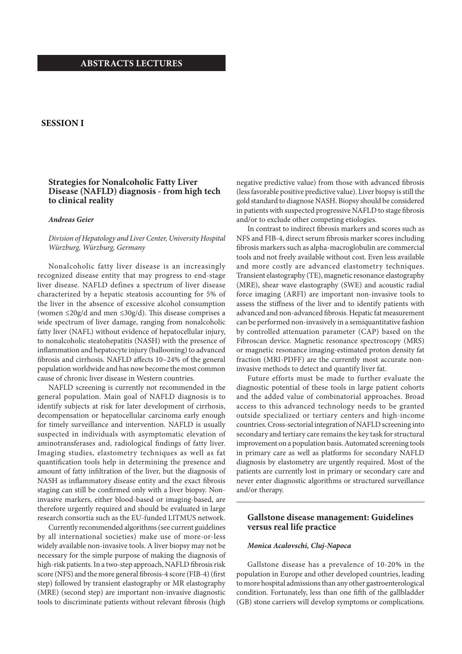## **ABSTRACTS LECTURES**

# **SESSION I**

# **Strategies for Nonalcoholic Fatty Liver Disease (NAFLD) diagnosis - from high tech to clinical reality**

#### *Andreas Geier*

*Division of Hepatology and Liver Center, University Hospital Würzburg, Würzburg, Germany*

Nonalcoholic fatty liver disease is an increasingly recognized disease entity that may progress to end-stage liver disease. NAFLD defines a spectrum of liver disease characterized by a hepatic steatosis accounting for 5% of the liver in the absence of excessive alcohol consumption (women ≤20g/d and men ≤30g/d). This disease comprises a wide spectrum of liver damage, ranging from nonalcoholic fatty liver (NAFL) without evidence of hepatocellular injury, to nonalcoholic steatohepatitis (NASH) with the presence of inflammation and hepatocyte injury (ballooning) to advanced fibrosis and cirrhosis. NAFLD affects 10–24% of the general population worldwide and has now become the most common cause of chronic liver disease in Western countries.

NAFLD screening is currently not recommended in the general population. Main goal of NAFLD diagnosis is to identify subjects at risk for later development of cirrhosis, decompensation or hepatocellular carcinoma early enough for timely surveillance and intervention. NAFLD is usually suspected in individuals with asymptomatic elevation of aminotransferases and, radiological findings of fatty liver. Imaging studies, elastometry techniques as well as fat quantification tools help in determining the presence and amount of fatty infiltration of the liver, but the diagnosis of NASH as inflammatory disease entity and the exact fibrosis staging can still be confirmed only with a liver biopsy. Noninvasive markers, either blood-based or imaging-based, are therefore urgently required and should be evaluated in large research consortia such as the EU-funded LITMUS network.

Currently recommended algorithms (see current guidelines by all international societies) make use of more-or-less widely available non-invasive tools. A liver biopsy may not be necessary for the simple purpose of making the diagnosis of high-risk patients. In a two-step approach, NAFLD fibrosis risk score (NFS) and the more general fibrosis-4 score (FIB-4) (first step) followed by transient elastography or MR elastography (MRE) (second step) are important non-invasive diagnostic tools to discriminate patients without relevant fibrosis (high

negative predictive value) from those with advanced fibrosis (less favorable positive predictive value). Liver biopsy is still the gold standard to diagnose NASH. Biopsy should be considered in patients with suspected progressive NAFLD to stage fibrosis and/or to exclude other competing etiologies.

In contrast to indirect fibrosis markers and scores such as NFS and FIB-4, direct serum fibrosis marker scores including fibrosis markers such as alpha-macroglobulin are commercial tools and not freely available without cost. Even less available and more costly are advanced elastometry techniques. Transient elastography (TE), magnetic resonance elastography (MRE), shear wave elastography (SWE) and acoustic radial force imaging (ARFI) are important non-invasive tools to assess the stiffness of the liver and to identify patients with advanced and non-advanced fibrosis. Hepatic fat measurement can be performed non-invasively in a semiquantitative fashion by controlled attenuation parameter (CAP) based on the Fibroscan device. Magnetic resonance spectroscopy (MRS) or magnetic resonance imaging-estimated proton density fat fraction (MRI-PDFF) are the currently most accurate noninvasive methods to detect and quantify liver fat.

Future efforts must be made to further evaluate the diagnostic potential of these tools in large patient cohorts and the added value of combinatorial approaches. Broad access to this advanced technology needs to be granted outside specialized or tertiary centers and high-income countries. Cross-sectorial integration of NAFLD screening into secondary and tertiary care remains the key task for structural improvement on a population basis. Automated screening tools in primary care as well as platforms for secondary NAFLD diagnosis by elastometry are urgently required. Most of the patients are currently lost in primary or secondary care and never enter diagnostic algorithms or structured surveillance and/or therapy.

## **Gallstone disease management: Guidelines versus real life practice**

#### *Monica Acalovschi, Cluj-Napoca*

Gallstone disease has a prevalence of 10-20% in the population in Europe and other developed countries, leading to more hospital admissions than any other gastroenterological condition. Fortunately, less than one fifth of the gallbladder (GB) stone carriers will develop symptoms or complications.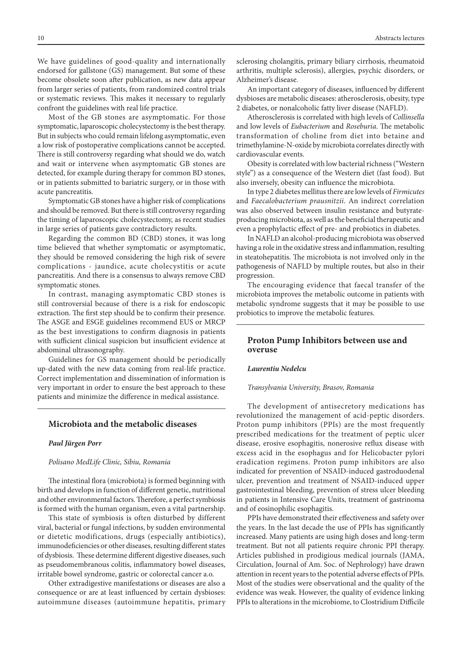We have guidelines of good-quality and internationally endorsed for gallstone (GS) management. But some of these become obsolete soon after publication, as new data appear from larger series of patients, from randomized control trials or systematic reviews. This makes it necessary to regularly confront the guidelines with real life practice.

Most of the GB stones are asymptomatic. For those symptomatic, laparoscopic cholecystectomy is the best therapy. But in subjects who could remain lifelong asymptomatic, even a low risk of postoperative complications cannot be accepted. There is still controversy regarding what should we do, watch and wait or intervene when asymptomatic GB stones are detected, for example during therapy for common BD stones, or in patients submitted to bariatric surgery, or in those with acute pancreatitis.

Symptomatic GB stones have a higher risk of complications and should be removed. But there is still controversy regarding the timing of laparoscopic cholecystectomy, as recent studies in large series of patients gave contradictory results.

Regarding the common BD (CBD) stones, it was long time believed that whether symptomatic or asymptomatic, they should be removed considering the high risk of severe complications - jaundice, acute cholecystitis or acute pancreatitis. And there is a consensus to always remove CBD symptomatic stones.

In contrast, managing asymptomatic CBD stones is still controversial because of there is a risk for endoscopic extraction. The first step should be to confirm their presence. The ASGE and ESGE guidelines recommend EUS or MRCP as the best investigations to confirm diagnosis in patients with sufficient clinical suspicion but insufficient evidence at abdominal ultrasonography.

Guidelines for GS management should be periodically up-dated with the new data coming from real-life practice. Correct implementation and dissemination of information is very important in order to ensure the best approach to these patients and minimize the difference in medical assistance.

# **Microbiota and the metabolic diseases**

#### *Paul Jürgen Porr*

#### *Polisano MedLife Clinic, Sibiu, Romania*

The intestinal flora (microbiota) is formed beginning with birth and develops in function of different genetic, nutritional and other environmental factors. Therefore, a perfect symbiosis is formed with the human organism, even a vital partnership.

This state of symbiosis is often disturbed by different viral, bacterial or fungal infections, by sudden environmental or dietetic modifications, drugs (especially antibiotics), immunodeficiencies or other diseases, resulting different states of dysbiosis. These determine different digestive diseases, such as pseudomembranous colitis, inflammatory bowel diseases, irritable bowel syndrome, gastric or colorectal cancer a.o.

Other extradigestive manifestations or diseases are also a consequence or are at least influenced by certain dysbioses: autoimmune diseases (autoimmune hepatitis, primary sclerosing cholangitis, primary biliary cirrhosis, rheumatoid arthritis, multiple sclerosis), allergies, psychic disorders, or Alzheimer's disease.

An important category of diseases, influenced by different dysbioses are metabolic diseases: atherosclerosis, obesity, type 2 diabetes, or nonalcoholic fatty liver disease (NAFLD).

Atherosclerosis is correlated with high levels of *Collinsella* and low levels of *Eubacterium* and *Roseburia*. The metabolic transformation of choline from diet into betaine and trimethylamine-N-oxide by microbiota correlates directly with cardiovascular events.

Obesity is correlated with low bacterial richness ("Western style") as a consequence of the Western diet (fast food). But also inversely, obesity can influence the microbiota.

In type 2 diabetes mellitus there are low levels of *Firmicutes* and *Faecalobacterium prausnitzii*. An indirect correlation was also observed between insulin resistance and butyrateproducing microbiota, as well as the beneficial therapeutic and even a prophylactic effect of pre- and probiotics in diabetes.

In NAFLD an alcohol-producing microbiota was observed having a role in the oxidative stress and inflammation, resulting in steatohepatitis. The microbiota is not involved only in the pathogenesis of NAFLD by multiple routes, but also in their progression.

The encouraging evidence that faecal transfer of the microbiota improves the metabolic outcome in patients with metabolic syndrome suggests that it may be possible to use probiotics to improve the metabolic features.

## **Proton Pump Inhibitors between use and overuse**

#### *Laurentiu Nedelcu*

#### *Transylvania University, Brasov, Romania*

The development of antisecretory medications has revolutionized the management of acid-peptic disorders. Proton pump inhibitors (PPIs) are the most frequently prescribed medications for the treatment of peptic ulcer disease, erosive esophagitis, nonerosive reflux disease with excess acid in the esophagus and for Helicobacter pylori eradication regimens. Proton pump inhibitors are also indicated for prevention of NSAID-induced gastroduodenal ulcer, prevention and treatment of NSAID-induced upper gastrointestinal bleeding, prevention of stress ulcer bleeding in patients in Intensive Care Units, treatment of gastrinoma and of eosinophilic esophagitis.

PPIs have demonstrated their effectiveness and safety over the years. In the last decade the use of PPIs has significantly increased. Many patients are using high doses and long-term treatment. But not all patients require chronic PPI therapy. Articles published in prodigious medical journals (JAMA, Circulation, Journal of Am. Soc. of Nephrology) have drawn attention in recent years to the potential adverse effects of PPIs. Most of the studies were observational and the quality of the evidence was weak. However, the quality of evidence linking PPIs to alterations in the microbiome, to Clostridium Difficile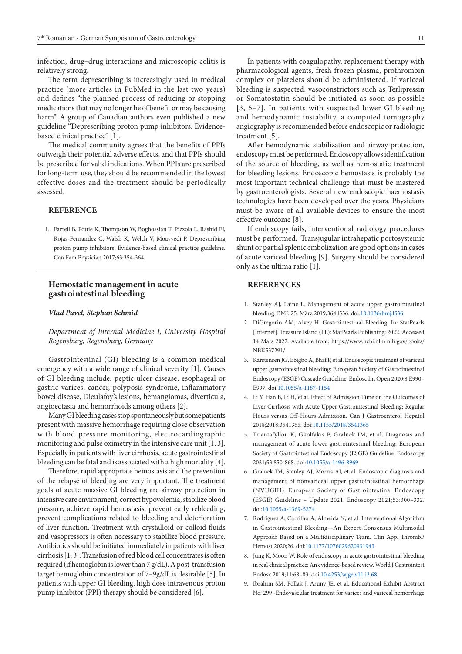infection, drug–drug interactions and microscopic colitis is relatively strong.

The term deprescribing is increasingly used in medical practice (more articles in PubMed in the last two years) and defines "the planned process of reducing or stopping medications that may no longer be of benefit or may be causing harm". A group of Canadian authors even published a new guideline "Deprescribing proton pump inhibitors. Evidencebased clinical practice" [1].

The medical community agrees that the benefits of PPIs outweigh their potential adverse effects, and that PPIs should be prescribed for valid indications. When PPIs are prescribed for long-term use, they should be recommended in the lowest effective doses and the treatment should be periodically assessed.

## **REFERENCE**

1. Farrell B, Pottie K, Thompson W, Boghossian T, Pizzola L, Rashid FJ, Rojas-Fernandez C, Walsh K, Welch V, Moayyedi P. Deprescribing proton pump inhibitors: Evidence-based clinical practice guideline. Can Fam Physician 2017;63:354-364.

## **Hemostatic management in acute gastrointestinal bleeding**

#### *Vlad Pavel, Stephan Schmid*

*Department of Internal Medicine I, University Hospital Regensburg, Regensburg, Germany*

Gastrointestinal (GI) bleeding is a common medical emergency with a wide range of clinical severity [1]. Causes of GI bleeding include: peptic ulcer disease, esophageal or gastric varices, cancer, polyposis syndrome, inflammatory bowel disease, Dieulafoy's lesions, hemangiomas, diverticula, angioectasia and hemorrhoids among others [2].

Many GI bleeding cases stop spontaneously but some patients present with massive hemorrhage requiring close observation with blood pressure monitoring, electrocardiographic monitoring and pulse oximetry in the intensive care unit [1, 3]. Especially in patients with liver cirrhosis, acute gastrointestinal bleeding can be fatal and is associated with a high mortality [4].

Therefore, rapid appropriate hemostasis and the prevention of the relapse of bleeding are very important. The treatment goals of acute massive GI bleeding are airway protection in intensive care environment, correct hypovolemia, stabilize blood pressure, achieve rapid hemostasis, prevent early rebleeding, prevent complications related to bleeding and deterioration of liver function. Treatment with crystalloid or colloid fluids and vasopressors is often necessary to stabilize blood pressure. Antibiotics should be initiated immediately in patients with liver cirrhosis [1, 3]. Transfusion of red blood cell concentrates is often required (if hemoglobin is lower than 7 g/dL). A post-transfusion target hemoglobin concentration of 7–9g/dL is desirable [5]. In patients with upper GI bleeding, high dose intravenous proton pump inhibitor (PPI) therapy should be considered [6].

In patients with coagulopathy, replacement therapy with pharmacological agents, fresh frozen plasma, prothrombin complex or platelets should be administered. If variceal bleeding is suspected, vasoconstrictors such as Terlipressin or Somatostatin should be initiated as soon as possible [3, 5–7]. In patients with suspected lower GI bleeding and hemodynamic instability, a computed tomography angiography is recommended before endoscopic or radiologic treatment [5].

After hemodynamic stabilization and airway protection, endoscopy must be performed. Endoscopy allows identification of the source of bleeding, as well as hemostatic treatment for bleeding lesions. Endoscopic hemostasis is probably the most important technical challenge that must be mastered by gastroenterologists. Several new endoscopic haemostasis technologies have been developed over the years. Physicians must be aware of all available devices to ensure the most effective outcome [8].

If endoscopy fails, interventional radiology procedures must be performed. Transjugular intrahepatic portosystemic shunt or partial splenic embolization are good options in cases of acute variceal bleeding [9]. Surgery should be considered only as the ultima ratio [1].

## **REFERENCES**

- 1. Stanley AJ, Laine L. Management of acute upper gastrointestinal bleeding. BMJ. 25. März 2019;364:l536. doi:[10.1136/bmj.l536](https://dx.doi.org/10.1136/bmj.l536)
- 2. DiGregorio AM, Alvey H. Gastrointestinal Bleeding. In: StatPearls [Internet]. Treasure Island (FL): StatPearls Publishing; 2022. Accessed 14 Mars 2022. Available from: https://www.ncbi.nlm.nih.gov/books/ NBK537291/
- 3. Karstensen JG, Ebigbo A, Bhat P, et al. Endoscopic treatment of variceal upper gastrointestinal bleeding: European Society of Gastrointestinal Endoscopy (ESGE) Cascade Guideline. Endosc Int Open 2020;8:E990– E997. doi:[10.1055/a-1187-1154](https://dx.doi.org/10.1055/a-1187-1154)
- 4. Li Y, Han B, Li H, et al. Effect of Admission Time on the Outcomes of Liver Cirrhosis with Acute Upper Gastrointestinal Bleeding: Regular Hours versus Off-Hours Admission. Can J Gastroenterol Hepatol 2018;2018:3541365. doi[:10.1155/2018/3541365](https://dx.doi.org/10.1155/2018/3541365)
- 5. Triantafyllou K, Gkolfakis P, Gralnek IM, et al. Diagnosis and management of acute lower gastrointestinal bleeding: European Society of Gastrointestinal Endoscopy (ESGE) Guideline. Endoscopy 2021;53:850-868. doi[:10.1055/a-1496-8969](https://dx.doi.org/10.1055/a-1496-8969)
- 6. Gralnek IM, Stanley AJ, Morris AJ, et al. Endoscopic diagnosis and management of nonvariceal upper gastrointestinal hemorrhage (NVUGIH): European Society of Gastrointestinal Endoscopy (ESGE) Guideline – Update 2021. Endoscopy 2021;53:300–332. doi[:10.1055/a-1369-5274](https://dx.doi.org/10.1055/a-1369-5274)
- 7. Rodrigues A, Carrilho A, Almeida N, et al. Interventional Algorithm in Gastrointestinal Bleeding—An Expert Consensus Multimodal Approach Based on a Multidisciplinary Team. Clin Appl Thromb./ Hemost 2020;26. doi:[10.1177/1076029620931943](https://dx.doi.org/10.1177/1076029620931943)
- 8. Jung K, Moon W. Role of endoscopy in acute gastrointestinal bleeding in real clinical practice: An evidence-based review. World J Gastrointest Endosc 2019;11:68–83. doi[:10.4253/wjge.v11.i2.68](https://dx.doi.org/10.4253/wjge.v11.i2.68)
- 9. Ibrahim SM, Pollak J, Aruny JE, et al. Educational Exhibit Abstract No. 299 -Endovascular treatment for varices and variceal hemorrhage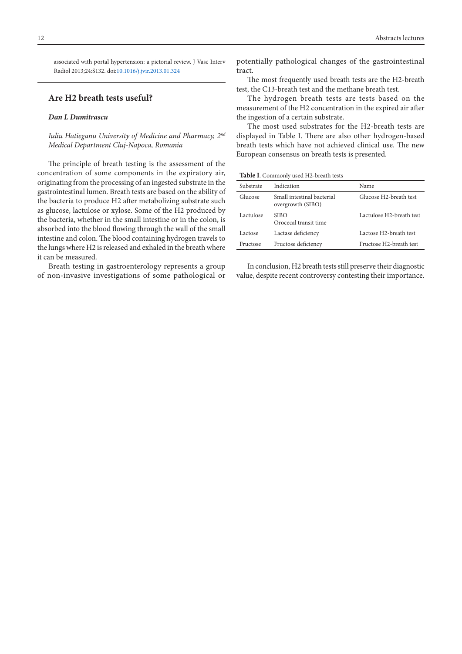associated with portal hypertension: a pictorial review. J Vasc Interv Radiol 2013;24:S132. doi[:10.1016/j.jvir.2013.01.324](https://dx.doi.org/10.1016/j.jvir.2013.01.324)

## **Are H2 breath tests useful?**

## *Dan L Dumitrascu*

*Iuliu Hatieganu University of Medicine and Pharmacy, 2nd Medical Department Cluj-Napoca, Romania*

The principle of breath testing is the assessment of the concentration of some components in the expiratory air, originating from the processing of an ingested substrate in the gastrointestinal lumen. Breath tests are based on the ability of the bacteria to produce H2 after metabolizing substrate such as glucose, lactulose or xylose. Some of the H2 produced by the bacteria, whether in the small intestine or in the colon, is absorbed into the blood flowing through the wall of the small intestine and colon. The blood containing hydrogen travels to the lungs where H2 is released and exhaled in the breath where it can be measured.

Breath testing in gastroenterology represents a group of non-invasive investigations of some pathological or

potentially pathological changes of the gastrointestinal tract.

The most frequently used breath tests are the H2-breath test, the C13-breath test and the methane breath test.

The hydrogen breath tests are tests based on the measurement of the H2 concentration in the expired air after the ingestion of a certain substrate.

The most used substrates for the H2-breath tests are displayed in Table I. There are also other hydrogen-based breath tests which have not achieved clinical use. The new European consensus on breath tests is presented.

**Table I**. Commonly used H2-breath tests

| Substrate | Indication                                      | Name                     |
|-----------|-------------------------------------------------|--------------------------|
| Glucose   | Small intestinal bacterial<br>overgrowth (SIBO) | Glucose H2-breath test   |
| Lactulose | SIBO<br>Orocecal transit time                   | Lactulose H2-breath test |
| Lactose   | Lactase deficiency                              | Lactose H2-breath test   |
| Fructose  | Fructose deficiency                             | Fructose H2-breath test  |
|           |                                                 |                          |

In conclusion, H2 breath tests still preserve their diagnostic value, despite recent controversy contesting their importance.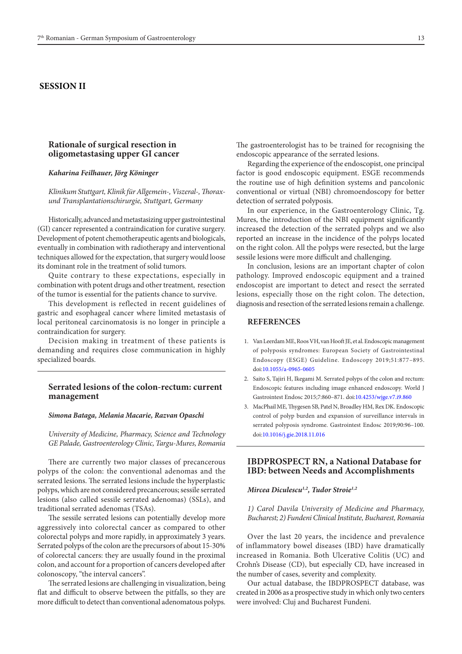# **SESSION II**

## **Rationale of surgical resection in oligometastasing upper GI cancer**

#### *Kaharina Feilhauer, Jörg Köninger*

*Klinikum Stuttgart, Klinik für Allgemein-, Viszeral-, Thoraxund Transplantationschirurgie, Stuttgart, Germany* 

Historically, advanced and metastasizing upper gastrointestinal (GI) cancer represented a contraindication for curative surgery. Development of potent chemotherapeutic agents and biologicals, eventually in combination with radiotherapy and interventional techniques allowed for the expectation, that surgery would loose its dominant role in the treatment of solid tumors.

Quite contrary to these expectations, especially in combination with potent drugs and other treatment, resection of the tumor is essential for the patients chance to survive.

This development is reflected in recent guidelines of gastric and esophageal cancer where limited metastasis of local peritoneal carcinomatosis is no longer in principle a contraindication for surgery.

Decision making in treatment of these patients is demanding and requires close communication in highly specialized boards.

## **Serrated lesions of the colon-rectum: current management**

#### *Simona Bataga, Melania Macarie, Razvan Opaschi*

*University of Medicine, Pharmacy, Science and Technology GE Palade, Gastroenterology Clinic, Targu-Mures, Romania*

There are currently two major classes of precancerous polyps of the colon: the conventional adenomas and the serrated lesions. The serrated lesions include the hyperplastic polyps, which are not considered precancerous; sessile serrated lesions (also called sessile serrated adenomas) (SSLs), and traditional serrated adenomas (TSAs).

The sessile serrated lesions can potentially develop more aggressively into colorectal cancer as compared to other colorectal polyps and more rapidly, in approximately 3 years. Serrated polyps of the colon are the precursors of about 15-30% of colorectal cancers: they are usually found in the proximal colon, and account for a proportion of cancers developed after colonoscopy, "the interval cancers".

The serrated lesions are challenging in visualization, being flat and difficult to observe between the pitfalls, so they are more difficult to detect than conventional adenomatous polyps.

The gastroenterologist has to be trained for recognising the endoscopic appearance of the serrated lesions.

Regarding the experience of the endoscopist, one principal factor is good endoscopic equipment. ESGE recommends the routine use of high definition systems and pancolonic conventional or virtual (NBI) chromoendoscopy for better detection of serrated polyposis.

In our experience, in the Gastroenterology Clinic, Tg. Mures, the introduction of the NBI equipment significantly increased the detection of the serrated polyps and we also reported an increase in the incidence of the polyps located on the right colon. All the polyps were resected, but the large sessile lesions were more difficult and challenging.

In conclusion, lesions are an important chapter of colon pathology. Improved endoscopic equipment and a trained endoscopist are important to detect and resect the serrated lesions, especially those on the right colon. The detection, diagnosis and resection of the serrated lesions remain a challenge.

#### **REFERENCES**

- 1. Van Leerdam ME, Roos VH, van Hooft JE, et al. Endoscopic management of polyposis syndromes: European Society of Gastrointestinal Endoscopy (ESGE) Guideline. Endoscopy 2019;51:877–895. doi[:10.1055/a-0965-0605](http://dx.doi.org/10.1055/a-0965-0605)
- 2. Saito S, Tajiri H, Ikegami M. Serrated polyps of the colon and rectum: Endoscopic features including image enhanced endoscopy. World J Gastrointest Endosc 2015;7:860–871. doi:[10.4253/wjge.v7.i9.860](http://dx.doi.org/10.4253/wjge.v7.i9.860)
- 3. MacPhail ME, Thygesen SB, Patel N, Broadley HM, Rex DK. Endoscopic control of polyp burden and expansion of surveillance intervals in serrated polyposis syndrome. Gastrointest Endosc 2019;90:96–100. doi[:10.1016/j.gie.2018.11.016](http://dx.doi.org/10.1016/j.gie.2018.11.016)

## **IBDPROSPECT RN, a National Database for IBD: between Needs and Accomplishments**

## *Mircea Diculescu1,2, Tudor Stroie1,2*

*1) Carol Davila University of Medicine and Pharmacy, Bucharest; 2) Fundeni Clinical Institute, Bucharest, Romania*

Over the last 20 years, the incidence and prevalence of inflammatory bowel diseases (IBD) have dramatically increased in Romania. Both Ulcerative Colitis (UC) and Crohn's Disease (CD), but especially CD, have increased in the number of cases, severity and complexity.

Our actual database, the IBDPROSPECT database, was created in 2006 as a prospective study in which only two centers were involved: Cluj and Bucharest Fundeni.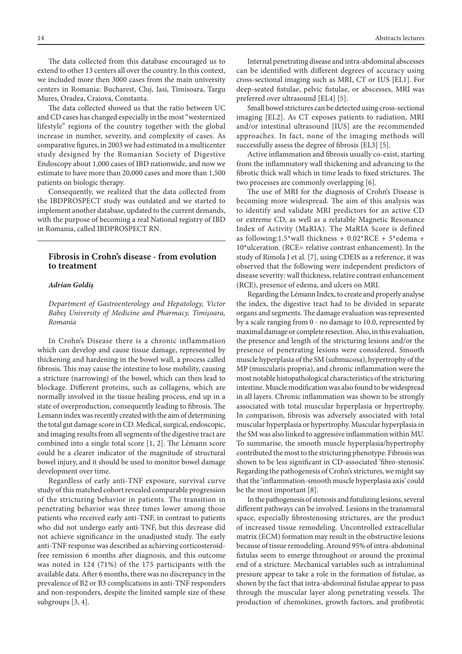The data collected from this database encouraged us to extend to other 13 centers all over the country. In this context, we included more then 3000 cases from the main university centers in Romania: Bucharest, Cluj, Iasi, Timisoara, Targu Mures, Oradea, Craiova, Constanta.

The data collected showed us that the ratio between UC and CD cases has changed especially in the most "westernized lifestyle" regions of the country together with the global increase in number, severity, and complexity of cases. As comparative figures, in 2003 we had estimated in a multicenter study designed by the Romanian Society of Digestive Endoscopy about 1,000 cases of IBD nationwide, and now we estimate to have more than 20,000 cases and more than 1,500 patients on biologic therapy.

Consequently, we realized that the data collected from the IBDPROSPECT study was outdated and we started to implement another database, updated to the current demands, with the purpose of becoming a real National registry of IBD in Romania, called IBDPROSPECT RN.

## **Fibrosis in Crohn's disease - from evolution to treatment**

#### *Adrian Goldiş*

*Department of Gastroenterology and Hepatology, Victor Babeş University of Medicine and Pharmacy, Timişoara, Romania*

In Crohn's Disease there is a chronic inflammation which can develop and cause tissue damage, represented by thickening and hardening in the bowel wall, a process called fibrosis. This may cause the intestine to lose mobility, causing a stricture (narrowing) of the bowel, which can then lead to blockage. Different proteins, such as collagens, which are normally involved in the tissue healing process, end up in a state of overproduction, consequently leading to fibrosis. The Lemann index was recently created with the aim of determining the total gut damage score in CD. Medical, surgical, endoscopic, and imaging results from all segments of the digestive tract are combined into a single total score [1, 2]. The Lémann score could be a clearer indicator of the magnitude of structural bowel injury, and it should be used to monitor bowel damage development over time.

Regardless of early anti-TNF exposure, survival curve study of this matched cohort revealed comparable progression of the stricturing behavior in patients. The transition in penetrating behavior was three times lower among those patients who received early anti-TNF, in contrast to patients who did not undergo early anti-TNF, but this decrease did not achieve significance in the unadjusted study. The early anti-TNF response was described as achieving corticosteroidfree remission 6 months after diagnosis, and this outcome was noted in 124 (71%) of the 175 participants with the available data. After 6 months, there was no discrepancy in the prevalence of B2 or B3 complications in anti-TNF responders and non-responders, despite the limited sample size of these subgroups [3, 4].

Internal penetrating disease and intra-abdominal abscesses can be identified with different degrees of accuracy using cross-sectional imaging such as MRI, CT or IUS [EL1]. For deep-seated fistulae, pelvic fistulae, or abscesses, MRI was preferred over ultrasound [EL4] [5].

Small bowel strictures can be detected using cross-sectional imaging [EL2]. As CT exposes patients to radiation, MRI and/or intestinal ultrasound [IUS] are the recommended approaches. In fact, none of the imaging methods will successfully assess the degree of fibrosis [EL3] [5].

Active inflammation and fibrosis usually co-exist, starting from the inflammatory wall thickening and advancing to the fibrotic thick wall which in time leads to fixed strictures. The two processes are commonly overlapping [6].

The use of MRI for the diagnosis of Crohn's Disease is becoming more widespread. The aim of this analysis was to identify and validate MRI predictors for an active CD or extreme CD, as well as a relatable Magnetic Resonance Index of Activity (MaRIA). The MaRIA Score is defined as following:1.5\*wall thickness +  $0.02*RCE + 5*$ edema + 10\*ulceration. (RCE= relative contrast enhancement). In the study of Rimola J et al. [7], using CDEIS as a reference, it was observed that the following were independent predictors of disease severity: wall thickness, relative contrast enhancement (RCE), presence of edema, and ulcers on MRI.

Regarding the Lémann Index, to create and properly analyse the index, the digestive tract had to be divided in separate organs and segments. The damage evaluation was represented by a scale ranging from 0 - no damage to 10.0, represented by maximal damage or complete resection. Also, in this evaluation, the presence and length of the stricturing lesions and/or the presence of penetrating lesions were considered. Smooth muscle hyperplasia of the SM (submucosa), hypertrophy of the MP (muscularis propria), and chronic inflammation were the most notable histopathological characteristics of the stricturing intestine. Muscle modification was also found to be widespread in all layers. Chronic inflammation was shown to be strongly associated with total muscular hyperplasia or hypertrophy. In comparison, fibrosis was adversely associated with total muscular hyperplasia or hypertrophy. Muscular hyperplasia in the SM was also linked to aggressive inflammation within MU. To summarise, the smooth muscle hyperplasia/hypertrophy contributed the most to the stricturing phenotype. Fibrosis was shown to be less significant in CD-associated 'fibro-stenosis'. Regarding the pathogenesis of Crohn's strictures, we might say that the 'inflammation-smooth muscle hyperplasia axis' could be the most important [8].

In the pathogenesis of stenosis and fistulizing lesions, several different pathways can be involved. Lesions in the transmural space, especially fibrostenosing strictures, are the product of increased tissue remodeling. Uncontrolled extracellular matrix (ECM) formation may result in the obstructive lesions because of tissue remodeling. Around 95% of intra-abdominal fistulas seem to emerge throughout or around the proximal end of a stricture. Mechanical variables such as intraluminal pressure appear to take a role in the formation of fistulae, as shown by the fact that intra-abdominal fistulae appear to pass through the muscular layer along penetrating vessels. The production of chemokines, growth factors, and profibrotic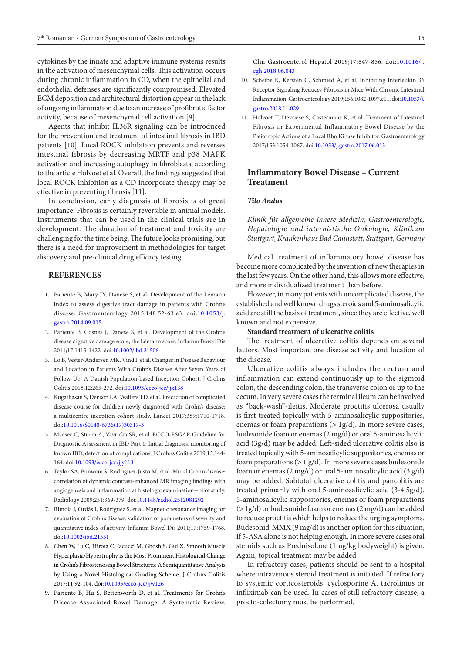cytokines by the innate and adaptive immune systems results in the activation of mesenchymal cells. This activation occurs during chronic inflammation in CD, when the epithelial and endothelial defenses are significantly compromised. Elevated ECM deposition and architectural distortion appear in the lack of ongoing inflammation due to an increase of profibrotic factor activity, because of mesenchymal cell activation [9].

Agents that inhibit IL36R signaling can be introduced for the prevention and treatment of intestinal fibrosis in IBD patients [10]. Local ROCK inhibition prevents and reverses intestinal fibrosis by decreasing MRTF and p38 MAPK activation and increasing autophagy in fibroblasts, according to the article Holvoet et al. Overall, the findings suggested that local ROCK inhibition as a CD incorporate therapy may be effective in preventing fibrosis [11].

In conclusion, early diagnosis of fibrosis is of great importance. Fibrosis is certainly reversible in animal models. Instruments that can be used in the clinical trials are in development. The duration of treatment and toxicity are challenging for the time being. The future looks promising, but there is a need for improvement in methodologies for target discovery and pre-clinical drug efficacy testing.

## **REFERENCES**

- 1. Pariente B, Mary JY, Danese S, et al. Development of the Lémann index to assess digestive tract damage in patients with Crohn's disease. Gastroenterology 2015;148:52-63.e3. doi:[10.1053/j.](https://dx.doi.org/10.1053/j.gastro.2014.09.015) [gastro.2014.09.015](https://dx.doi.org/10.1053/j.gastro.2014.09.015)
- 2. Pariente B, Cosnes J, Danese S, et al. Development of the Crohn's disease digestive damage score, the Lémann score. Inflamm Bowel Dis 2011;17:1415-1422. doi:[10.1002/ibd.21506](https://dx.doi.org/10.1002/ibd.21506)
- 3. Lo B, Vester-Andersen MK, Vind I, et al. Changes in Disease Behaviour and Location in Patients With Crohn's Disease After Seven Years of Follow-Up: A Danish Population-based Inception Cohort. J Crohns Colitis 2018;12:265-272. doi:[10.1093/ecco-jcc/jjx138](https://dx.doi.org/10.1093/ecco-jcc/jjx138)
- 4. Kugathasan S, Denson LA, Walters TD, et al. Prediction of complicated disease course for children newly diagnosed with Crohn's disease: a multicentre inception cohort study. Lancet 2017;389:1710-1718. doi:[10.1016/S0140-6736\(17\)30317-3](https://dx.doi.org/10.1016/S0140-6736(17)30317-3)
- 5. Maaser C, Sturm A, Vavricka SR, et al. ECCO-ESGAR Guideline for Diagnostic Assessment in IBD Part 1: Initial diagnosis, monitoring of known IBD, detection of complications. J Crohns Colitis 2019;13:144- 164. doi:[10.1093/ecco-jcc/jjy113](https://dx.doi.org/10.1093/ecco-jcc/jjy113)
- 6. Taylor SA, Punwani S, Rodriguez-Justo M, et al. Mural Crohn disease: correlation of dynamic contrast-enhanced MR imaging findings with angiogenesis and inflammation at histologic examination--pilot study. Radiology 2009;251:369-379. doi[:10.1148/radiol.2512081292](https://dx.doi.org/10.1148/radiol.2512081292)
- 7. Rimola J, Ordás I, Rodriguez S, et al. Magnetic resonance imaging for evaluation of Crohn's disease: validation of parameters of severity and quantitative index of activity. Inflamm Bowel Dis 2011;17:1759-1768. doi:[10.1002/ibd.21551](https://dx.doi.org/10.1002/ibd.21551)
- 8. Chen W, Lu C, Hirota C, Iacucci M, Ghosh S, Gui X. Smooth Muscle Hyperplasia/Hypertrophy is the Most Prominent Histological Change in Crohn's Fibrostenosing Bowel Strictures: A Semiquantitative Analysis by Using a Novel Histological Grading Scheme. J Crohns Colitis 2017;11:92-104. doi[:10.1093/ecco-jcc/jjw126](https://dx.doi.org/10.1093/ecco-jcc/jjw126)
- 9. Pariente B, Hu S, Bettenworth D, et al. Treatments for Crohn's Disease-Associated Bowel Damage: A Systematic Review.

Clin Gastroenterol Hepatol 2019;17:847-856. doi:[10.1016/j.](https://dx.doi.org/10.1016/j.cgh.2018.06.043) [cgh.2018.06.043](https://dx.doi.org/10.1016/j.cgh.2018.06.043)

- 10. Scheibe K, Kersten C, Schmied A, et al. Inhibiting Interleukin 36 Receptor Signaling Reduces Fibrosis in Mice With Chronic Intestinal Inflammation. Gastroenterology 2019;156:1082-1097.e11. doi:[10.1053/j.](https://dx.doi.org/10.1053/j.gastro.2018.11.029) [gastro.2018.11.029](https://dx.doi.org/10.1053/j.gastro.2018.11.029)
- 11. Holvoet T, Devriese S, Castermans K, et al. Treatment of Intestinal Fibrosis in Experimental Inflammatory Bowel Disease by the Pleiotropic Actions of a Local Rho Kinase Inhibitor. Gastroenterology 2017;153:1054-1067. doi:[10.1053/j.gastro.2017.06.013](https://dx.doi.org/10.1053/j.gastro.2017.06.013)

## **Inflammatory Bowel Disease – Current Treatment**

#### *Tilo Andus*

*Klinik für allgemeine Innere Medizin, Gastroenterologie, Hepatologie und internistische Onkologie, Klinikum Stuttgart, Krankenhaus Bad Cannstatt, Stuttgart, Germany*

Medical treatment of inflammatory bowel disease has become more complicated by the invention of new therapies in the last few years. On the other hand, this allows more effective, and more individualized treatment than before.

However, in many patients with uncomplicated disease, the established and well known drugs steroids and 5-aminosalicylic acid are still the basis of treatment, since they are effective, well known and not expensive.

#### **Standard treatment of ulcerative colitis**

The treatment of ulcerative colitis depends on several factors. Most important are disease activity and location of the disease.

Ulcerative colitis always includes the rectum and inflammation can extend continuously up to the sigmoid colon, the descending colon, the transverse colon or up to the cecum. In very severe cases the terminal ileum can be involved as "back-wash"-ileitis. Moderate proctitis ulcerosa usually is first treated topically with 5-aminosalicylic suppositories, enemas or foam preparations ( $> 1g/d$ ). In more severe cases, budesonide foam or enemas (2 mg/d) or oral 5-aminosalicylic acid (3g/d) may be added. Left-sided ulcerative colitis also is treated topically with 5-aminosalicylic suppositories, enemas or foam preparations ( $> 1$  g/d). In more severe cases budesonide foam or enemas  $(2 \text{ mg/d})$  or oral 5-aminosalicylic acid  $(3 \text{ g/d})$ may be added. Subtotal ulcerative colitis and pancolitis are treated primarily with oral 5-aminosalicylic acid (3-4,5g/d). 5-aminosalicylic suppositories, enemas or foam preparations  $($  > 1g/d) or budesonide foam or enemas  $(2 \text{ mg/d})$  can be added to reduce proctitis which helps to reduce the urging symptoms. Budesonid-MMX (9 mg/d) is another option for this situation, if 5-ASA alone is not helping enough. In more severe cases oral steroids such as Prednisolone (1mg/kg bodyweight) is given. Again, topical treatment may be added.

In refractory cases, patients should be sent to a hospital where intravenous steroid treatment is initiated. If refractory to systemic corticosteroids, cyclosporine A, tacrolimus or infliximab can be used. In cases of still refractory disease, a procto-colectomy must be performed.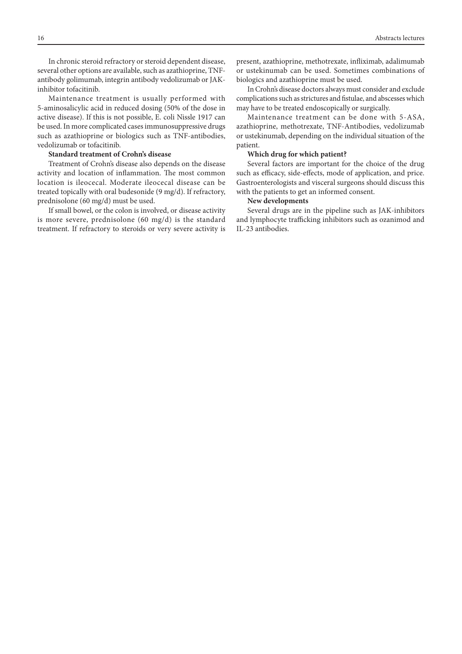In chronic steroid refractory or steroid dependent disease, several other options are available, such as azathioprine, TNFantibody golimumab, integrin antibody vedolizumab or JAKinhibitor tofacitinib.

Maintenance treatment is usually performed with 5-aminosalicylic acid in reduced dosing (50% of the dose in active disease). If this is not possible, E. coli Nissle 1917 can be used. In more complicated cases immunosuppressive drugs such as azathioprine or biologics such as TNF-antibodies, vedolizumab or tofacitinib.

## **Standard treatment of Crohn's disease**

Treatment of Crohn's disease also depends on the disease activity and location of inflammation. The most common location is ileocecal. Moderate ileocecal disease can be treated topically with oral budesonide (9 mg/d). If refractory, prednisolone (60 mg/d) must be used.

If small bowel, or the colon is involved, or disease activity is more severe, prednisolone (60 mg/d) is the standard treatment. If refractory to steroids or very severe activity is present, azathioprine, methotrexate, infliximab, adalimumab or ustekinumab can be used. Sometimes combinations of biologics and azathioprine must be used.

In Crohn's disease doctors always must consider and exclude complications such as strictures and fistulae, and abscesses which may have to be treated endoscopically or surgically.

Maintenance treatment can be done with 5-ASA, azathioprine, methotrexate, TNF-Antibodies, vedolizumab or ustekinumab, depending on the individual situation of the patient.

#### **Which drug for which patient?**

Several factors are important for the choice of the drug such as efficacy, side-effects, mode of application, and price. Gastroenterologists and visceral surgeons should discuss this with the patients to get an informed consent.

## **New developments**

Several drugs are in the pipeline such as JAK-inhibitors and lymphocyte trafficking inhibitors such as ozanimod and IL-23 antibodies.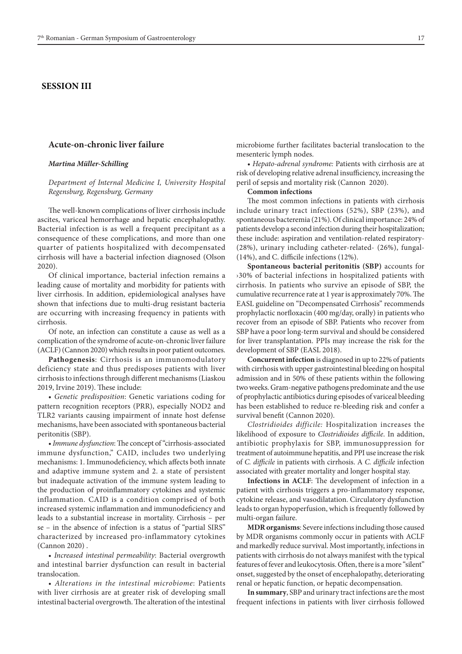# **SESSION III**

#### **Acute-on-chronic liver failure**

#### *Martina Müller-Schilling*

*Department of Internal Medicine I, University Hospital Regensburg, Regensburg, Germany*

The well-known complications of liver cirrhosis include ascites, variceal hemorrhage and hepatic encephalopathy. Bacterial infection is as well a frequent precipitant as a consequence of these complications, and more than one quarter of patients hospitalized with decompensated cirrhosis will have a bacterial infection diagnosed (Olson 2020).

Of clinical importance, bacterial infection remains a leading cause of mortality and morbidity for patients with liver cirrhosis. In addition, epidemiological analyses have shown that infections due to multi-drug resistant bacteria are occurring with increasing frequency in patients with cirrhosis.

Of note, an infection can constitute a cause as well as a complication of the syndrome of acute-on-chronic liver failure (ACLF) (Cannon 2020) which results in poor patient outcomes.

**Pathogenesis**: Cirrhosis is an immunomodulatory deficiency state and thus predisposes patients with liver cirrhosis to infections through different mechanisms (Liaskou 2019, Irvine 2019). These include:

• *Genetic predisposition*: Genetic variations coding for pattern recognition receptors (PRR), especially NOD2 and TLR2 variants causing impairment of innate host defense mechanisms, have been associated with spontaneous bacterial peritonitis (SBP).

• *Immune dysfunction*: The concept of "cirrhosis-associated immune dysfunction," CAID, includes two underlying mechanisms: 1. Immunodeficiency, which affects both innate and adaptive immune system and 2. a state of persistent but inadequate activation of the immune system leading to the production of proinflammatory cytokines and systemic inflammation. CAID is a condition comprised of both increased systemic inflammation and immunodeficiency and leads to a substantial increase in mortality. Cirrhosis – per se – in the absence of infection is a status of "partial SIRS" characterized by increased pro-inflammatory cytokines (Cannon 2020) .

• *Increased intestinal permeability*: Bacterial overgrowth and intestinal barrier dysfunction can result in bacterial translocation.

• *Alterations in the intestinal microbiome*: Patients with liver cirrhosis are at greater risk of developing small intestinal bacterial overgrowth. The alteration of the intestinal microbiome further facilitates bacterial translocation to the mesenteric lymph nodes.

• *Hepato-adrenal syndrome:* Patients with cirrhosis are at risk of developing relative adrenal insufficiency, increasing the peril of sepsis and mortality risk (Cannon 2020).

### **Common infections**

The most common infections in patients with cirrhosis include urinary tract infections (52%), SBP (23%), and spontaneous bacteremia (21%). Of clinical importance: 24% of patients develop a second infection during their hospitalization; these include: aspiration and ventilation-related respiratory- (28%), urinary including catheter-related- (26%), fungal- (14%), and C. difficile infections (12%).

**Spontaneous bacterial peritonitis (SBP)** accounts for ›30% of bacterial infections in hospitalized patients with cirrhosis. In patients who survive an episode of SBP, the cumulative recurrence rate at 1 year is approximately 70%. The EASL guideline on "Decompensated Cirrhosis" recommends prophylactic norfloxacin (400 mg/day, orally) in patients who recover from an episode of SBP. Patients who recover from SBP have a poor long-term survival and should be considered for liver transplantation. PPIs may increase the risk for the development of SBP (EASL 2018).

**Concurrent infection** is diagnosed in up to 22% of patients with cirrhosis with upper gastrointestinal bleeding on hospital admission and in 50% of these patients within the following two weeks. Gram-negative pathogens predominate and the use of prophylactic antibiotics during episodes of variceal bleeding has been established to reduce re-bleeding risk and confer a survival benefit (Cannon 2020).

*Clostridioides difficile:* Hospitalization increases the likelihood of exposure to *Clostridioides difficile*. In addition, antibiotic prophylaxis for SBP, immunosuppression for treatment of autoimmune hepatitis, and PPI use increase the risk of *C. difficile* in patients with cirrhosis. A *C. difficile* infection associated with greater mortality and longer hospital stay.

**Infections in ACLF**: The development of infection in a patient with cirrhosis triggers a pro-inflammatory response, cytokine release, and vasodilatation. Circulatory dysfunction leads to organ hypoperfusion, which is frequently followed by multi-organ failure.

**MDR organisms**: Severe infections including those caused by MDR organisms commonly occur in patients with ACLF and markedly reduce survival. Most importantly, infections in patients with cirrhosis do not always manifest with the typical features of fever and leukocytosis. Often, there is a more "silent" onset, suggested by the onset of encephalopathy, deteriorating renal or hepatic function, or hepatic decompensation.

**In summary**, SBP and urinary tract infections are the most frequent infections in patients with liver cirrhosis followed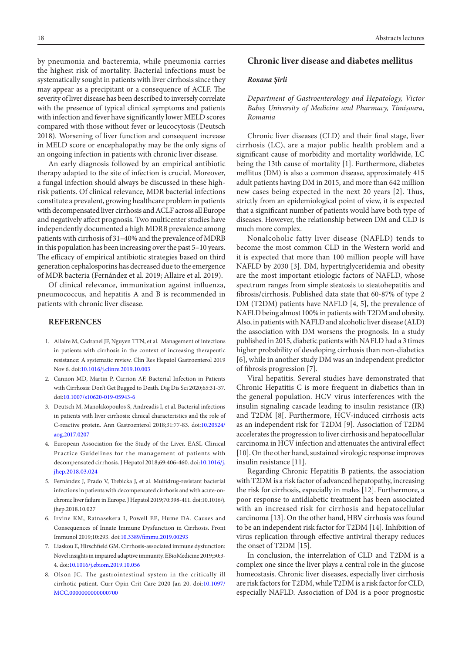by pneumonia and bacteremia, while pneumonia carries the highest risk of mortality. Bacterial infections must be systematically sought in patients with liver cirrhosis since they may appear as a precipitant or a consequence of ACLF. The severity of liver disease has been described to inversely correlate with the presence of typical clinical symptoms and patients with infection and fever have significantly lower MELD scores compared with those without fever or leucocytosis (Deutsch 2018). Worsening of liver function and consequent increase in MELD score or encephalopathy may be the only signs of an ongoing infection in patients with chronic liver disease.

An early diagnosis followed by an empirical antibiotic therapy adapted to the site of infection is crucial. Moreover, a fungal infection should always be discussed in these highrisk patients. Of clinical relevance, MDR bacterial infections constitute a prevalent, growing healthcare problem in patients with decompensated liver cirrhosis and ACLF across all Europe and negatively affect prognosis. Two multicenter studies have independently documented a high MDRB prevalence among patients with cirrhosis of 31–40% and the prevalence of MDRB in this population has been increasing over the past 5–10 years. The efficacy of empirical antibiotic strategies based on third generation cephalosporins has decreased due to the emergence of MDR bacteria (Fernández et al. 2019; Allaire et al. 2019).

Of clinical relevance, immunization against influenza, pneumococcus, and hepatitis A and B is recommended in patients with chronic liver disease.

## **REFERENCES**

- 1. Allaire M, Cadranel JF, Nguyen TTN, et al. Management of infections in patients with cirrhosis in the context of increasing therapeutic resistance: A systematic review. Clin Res Hepatol Gastroenterol 2019 Nov 6. doi[:10.1016/j.clinre.2019.10.003](http://dx.doi.org/10.1016/j.clinre.2019.10.003)
- 2. Cannon MD, Martin P, Carrion AF. Bacterial Infection in Patients with Cirrhosis: Don't Get Bugged to Death. Dig Dis Sci 2020;65:31-37. doi:[10.1007/s10620-019-05943-6](http://dx.doi.org/10.1007/s10620-019-05943-6)
- 3. Deutsch M, Manolakopoulos S, Andreadis I, et al. Bacterial infections in patients with liver cirrhosis: clinical characteristics and the role of C-reactive protein. Ann Gastroenterol 2018;31:77-83. doi[:10.20524/](http://dx.doi.org/10.20524/aog.2017.0207) [aog.2017.0207](http://dx.doi.org/10.20524/aog.2017.0207)
- 4. European Association for the Study of the Liver. EASL Clinical Practice Guidelines for the management of patients with decompensated cirrhosis. J Hepatol 2018;69:406-460. doi:[10.1016/j.](http://dx.doi.org/10.1016/j.jhep.2018.03.024) [jhep.2018.03.024](http://dx.doi.org/10.1016/j.jhep.2018.03.024)
- 5. Fernández J, Prado V, Trebicka J, et al. Multidrug-resistant bacterial infections in patients with decompensated cirrhosis and with acute-onchronic liver failure in Europe. J Hepatol 2019;70:398-411. doi:10.1016/j. jhep.2018.10.027
- 6. Irvine KM, Ratnasekera I, Powell EE, Hume DA. Causes and Consequences of Innate Immune Dysfunction in Cirrhosis. Front Immunol 2019;10:293. doi[:10.3389/fimmu.2019.00293](http://dx.doi.org/10.3389/fimmu.2019.00293)
- 7. Liaskou E, Hirschfield GM. Cirrhosis-associated immune dysfunction: Novel insights in impaired adaptive immunity. EBioMedicine 2019;50:3- 4. doi[:10.1016/j.ebiom.2019.10.056](http://dx.doi.org/10.1016/j.ebiom.2019.10.056)
- 8. Olson JC. The gastrointestinal system in the critically ill cirrhotic patient. Curr Opin Crit Care 2020 Jan 20. doi:[10.1097/](http://dx.doi.org/10.1097/MCC.0000000000000700) [MCC.0000000000000700](http://dx.doi.org/10.1097/MCC.0000000000000700)

## **Chronic liver disease and diabetes mellitus**

#### *Roxana Șirli*

*Department of Gastroenterology and Hepatology, Victor Babeș University of Medicine and Pharmacy, Timișoara, Romania*

Chronic liver diseases (CLD) and their final stage, liver cirrhosis (LC), are a major public health problem and a significant cause of morbidity and mortality worldwide, LC being the 13th cause of mortality [1]. Furthermore, diabetes mellitus (DM) is also a common disease, approximately 415 adult patients having DM in 2015, and more than 642 million new cases being expected in the next 20 years [2]. Thus, strictly from an epidemiological point of view, it is expected that a significant number of patients would have both type of diseases. However, the relationship between DM and CLD is much more complex.

Nonalcoholic fatty liver disease (NAFLD) tends to become the most common CLD in the Western world and it is expected that more than 100 million people will have NAFLD by 2030 [3]. DM, hypertriglyceridemia and obesity are the most important etiologic factors of NAFLD, whose spectrum ranges from simple steatosis to steatohepatitis and fibrosis/cirrhosis. Published data state that 60-87% of type 2 DM (T2DM) patients have NAFLD [4, 5], the prevalence of NAFLD being almost 100% in patients with T2DM and obesity. Also, in patients with NAFLD and alcoholic liver disease (ALD) the association with DM worsens the prognosis. In a study published in 2015, diabetic patients with NAFLD had a 3 times higher probability of developing cirrhosis than non-diabetics [6], while in another study DM was an independent predictor of fibrosis progression [7].

Viral hepatitis. Several studies have demonstrated that Chronic Hepatitis C is more frequent in diabetics than in the general population. HCV virus interferences with the insulin signaling cascade leading to insulin resistance (IR) and T2DM [8[. Furthermore, HCV-induced cirrhosis acts as an independent risk for T2DM [9]. Association of T2DM accelerates the progression to liver cirrhosis and hepatocellular carcinoma in HCV infection and attenuates the antiviral effect [10]. On the other hand, sustained virologic response improves insulin resistance [11].

Regarding Chronic Hepatitis B patients, the association with T2DM is a risk factor of advanced hepatopathy, increasing the risk for cirrhosis, especially in males [12]. Furthermore, a poor response to antidiabetic treatment has been associated with an increased risk for cirrhosis and hepatocellular carcinoma [13]. On the other hand, HBV cirrhosis was found to be an independent risk factor for T2DM [14]. Inhibition of virus replication through effective antiviral therapy reduces the onset of T2DM [15].

In conclusion, the interrelation of CLD and T2DM is a complex one since the liver plays a central role in the glucose homeostasis. Chronic liver diseases, especially liver cirrhosis are risk factors for T2DM, while T2DM is a risk factor for CLD, especially NAFLD. Association of DM is a poor prognostic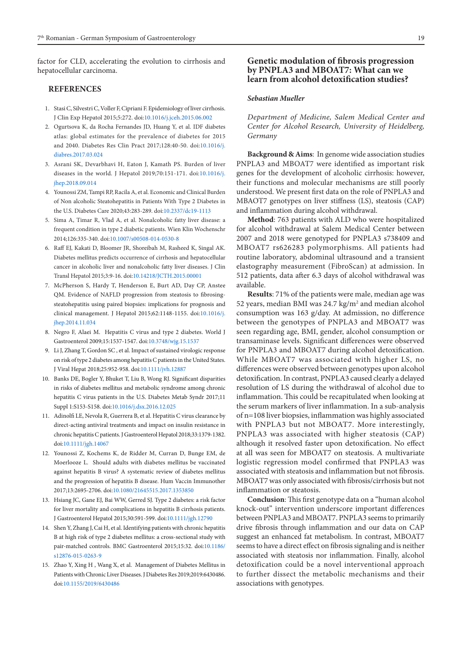factor for CLD, accelerating the evolution to cirrhosis and hepatocellular carcinoma.

## **REFERENCES**

- 1. Stasi C, Silvestri C, Voller F, Cipriani F. Epidemiology of liver cirrhosis. J Clin Exp Hepatol 2015;5:272. doi:[10.1016/j.jceh.2015.06.002](https://dx.doi.org/10.1016/j.jceh.2015.06.002)
- 2. Ogurtsova K, da Rocha Fernandes JD, Huang Y, et al. IDF diabetes atlas: global estimates for the prevalence of diabetes for 2015 and 2040. Diabetes Res Clin Pract 2017;128:40-50. doi:[10.1016/j.](https://dx.doi.org/10.1016/j.diabres.2017.03.024) [diabres.2017.03.024](https://dx.doi.org/10.1016/j.diabres.2017.03.024)
- 3. Asrani SK, Devarbhavi H, Eaton J, Kamath PS. Burden of liver diseases in the world. J Hepatol 2019;70:151-171. doi[:10.1016/j.](https://dx.doi.org/10.1016/j.jhep.2018.09.014) [jhep.2018.09.014](https://dx.doi.org/10.1016/j.jhep.2018.09.014)
- 4. Younossi ZM, Tampi RP, Racila A, et al. Economic and Clinical Burden of Non alcoholic Steatohepatitis in Patients With Type 2 Diabetes in the U.S. Diabetes Care 2020;43:283-289. doi:[10.2337/dc19-1113](https://dx.doi.org/10.2337/dc19-1113)
- 5. Sima A, Timar R, Vlad A, et al. Nonalcoholic fatty liver disease: a frequent condition in type 2 diabetic patients. Wien Klin Wochenschr 2014;126:335-340. doi:[10.1007/s00508-014-0530-8](https://dx.doi.org/10.1007/s00508-014-0530-8)
- 6. Raff EJ, Kakati D, Bloomer JR, Shoreibah M, Rasheed K, Singal AK. Diabetes mellitus predicts occurrence of cirrhosis and hepatocellular cancer in alcoholic liver and nonalcoholic fatty liver diseases. J Clin Transl Hepatol 2015;3:9-16. doi[:10.14218/JCTH.2015.00001](https://dx.doi.org/10.14218/JCTH.2015.00001)
- 7. McPherson S, Hardy T, Henderson E, Burt AD, Day CP, Anstee QM. Evidence of NAFLD progression from steatosis to fibrosingsteatohepatitis using paired biopsies: implications for prognosis and clinical management. J Hepatol 2015;62:1148-1155. doi[:10.1016/j.](https://dx.doi.org/10.1016/j.jhep.2014.11.034) [jhep.2014.11.034](https://dx.doi.org/10.1016/j.jhep.2014.11.034)
- 8. Negro F, Alaei M. Hepatitis C virus and type 2 diabetes. World J Gastroenterol 2009;15:1537-1547. doi[:10.3748/wjg.15.1537](https://dx.doi.org/10.3748/wjg.15.1537)
- 9. Li J, Zhang T, Gordon SC , et al. Impact of sustained virologic response on risk of type 2 diabetes among hepatitis C patients in the United States. J Viral Hepat 2018;25:952-958. doi[:10.1111/jvh.12887](https://dx.doi.org/10.1111/jvh.12887)
- 10. Banks DE, Bogler Y, Bhuket T, Liu B, Wong RJ. Significant disparities in risks of diabetes mellitus and metabolic syndrome among chronic hepatitis C virus patients in the U.S. Diabetes Metab Syndr 2017;11 Suppl 1:S153-S158. doi[:10.1016/j.dsx.2016.12.025](https://dx.doi.org/10.1016/j.dsx.2016.12.025)
- 11. Adinolfi LE, Nevola R, Guerrera B, et al. Hepatitis C virus clearance by direct-acting antiviral treatments and impact on insulin resistance in chronic hepatitis C patients. J Gastroenterol Hepatol 2018;33:1379-1382. doi:[10.1111/jgh.14067](https://dx.doi.org/10.1111/jgh.14067)
- 12. Younossi Z, Kochems K, de Ridder M, Curran D, Bunge EM, de Moerlooze L. Should adults with diabetes mellitus be vaccinated against hepatitis B virus? A systematic review of diabetes mellitus and the progression of hepatitis B disease. Hum Vaccin Immunother 2017;13:2695-2706. doi:[10.1080/21645515.2017.1353850](https://dx.doi.org/10.1080/21645515.2017.1353850)
- 13. Hsiang JC, Gane EJ, Bai WW, Gerred SJ. Type 2 diabetes: a risk factor for liver mortality and complications in hepatitis B cirrhosis patients. J Gastroenterol Hepatol 2015;30:591-599. doi[:10.1111/jgh.12790](https://dx.doi.org/10.1111/jgh.12790)
- 14. Shen Y, Zhang J, Cai H, et al. Identifying patients with chronic hepatitis B at high risk of type 2 diabetes mellitus: a cross-sectional study with pair-matched controls. BMC Gastroenterol 2015;15:32. doi[:10.1186/](https://dx.doi.org/10.1186/s12876-015-0263-9) [s12876-015-0263-9](https://dx.doi.org/10.1186/s12876-015-0263-9)
- 15. Zhao Y, Xing H , Wang X, et al. Management of Diabetes Mellitus in Patients with Chronic Liver Diseases. J Diabetes Res 2019;2019:6430486. doi:[10.1155/2019/6430486](https://dx.doi.org/10.1155/2019/6430486)

## **Genetic modulation of fibrosis progression by PNPLA3 and MBOAT7: What can we learn from alcohol detoxification studies?**

## *Sebastian Mueller*

*Department of Medicine, Salem Medical Center and Center for Alcohol Research, University of Heidelberg, Germany*

**Background & Aims**: In genome wide association studies PNPLA3 and MBOAT7 were identified as important risk genes for the development of alcoholic cirrhosis: however, their functions and molecular mechanisms are still poorly understood. We present first data on the role of PNPLA3 and MBAOT7 genotypes on liver stiffness (LS), steatosis (CAP) and inflammation during alcohol withdrawal.

**Method**: 763 patients with ALD who were hospitalized for alcohol withdrawal at Salem Medical Center between 2007 and 2018 were genotyped for PNPLA3 s738409 and MBOAT7 rs626283 polymorphisms. All patients had routine laboratory, abdominal ultrasound and a transient elastography measurement (FibroScan) at admission. In 512 patients, data after 6.3 days of alcohol withdrawal was available.

**Results**: 71% of the patients were male, median age was 52 years, median BMI was 24.7 kg/m<sup>2</sup> and median alcohol consumption was 163 g/day. At admission, no difference between the genotypes of PNPLA3 and MBOAT7 was seen regarding age, BMI, gender, alcohol consumption or transaminase levels. Significant differences were observed for PNPLA3 and MBOAT7 during alcohol detoxification. While MBOAT7 was associated with higher LS, no differences were observed between genotypes upon alcohol detoxification. In contrast, PNPLA3 caused clearly a delayed resolution of LS during the withdrawal of alcohol due to inflammation. This could be recapitulated when looking at the serum markers of liver inflammation. In a sub-analysis of n=108 liver biopsies, inflammation was highly associated with PNPLA3 but not MBOAT7. More interestingly, PNPLA3 was associated with higher steatosis (CAP) although it resolved faster upon detoxification. No effect at all was seen for MBOAT7 on steatosis. A multivariate logistic regression model confirmed that PNPLA3 was associated with steatosis and inflammation but not fibrosis. MBOAT7 was only associated with fibrosis/cirrhosis but not inflammation or steatosis.

**Conclusion**: This first genotype data on a "human alcohol knock-out" intervention underscore important differences between PNPLA3 and MBOAT7. PNPLA3 seems to primarily drive fibrosis through inflammation and our data on CAP suggest an enhanced fat metabolism. In contrast, MBOAT7 seems to have a direct effect on fibrosis signaling and is neither associated with steatosis nor inflammation. Finally, alcohol detoxification could be a novel interventional approach to further dissect the metabolic mechanisms and their associations with genotypes.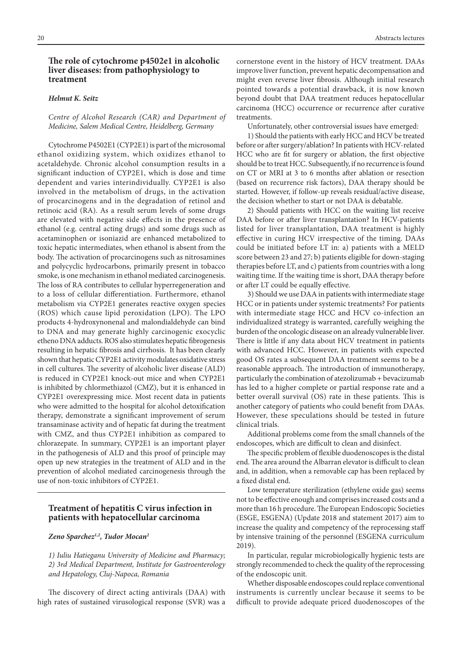## **The role of cytochrome p4502e1 in alcoholic liver diseases: from pathophysiology to treatment**

#### *Helmut K. Seitz*

#### *Centre of Alcohol Research (CAR) and Department of Medicine, Salem Medical Centre, Heidelberg, Germany*

Cytochrome P4502E1 (CYP2E1) is part of the microsomal ethanol oxidizing system, which oxidizes ethanol to acetaldehyde. Chronic alcohol consumption results in a significant induction of CYP2E1, which is dose and time dependent and varies interindividually. CYP2E1 is also involved in the metabolism of drugs, in the activation of procarcinogens and in the degradation of retinol and retinoic acid (RA). As a result serum levels of some drugs are elevated with negative side effects in the presence of ethanol (e.g. central acting drugs) and some drugs such as acetaminophen or isoniazid are enhanced metabolized to toxic hepatic intermediates, when ethanol is absent from the body. The activation of procarcinogens such as nitrosamines and polycyclic hydrocarbons, primarily present in tobacco smoke, is one mechanism in ethanol mediated carcinogenesis. The loss of RA contributes to cellular hyperregeneration and to a loss of cellular differentiation. Furthermore, ethanol metabolism via CYP2E1 generates reactive oxygen species (ROS) which cause lipid peroxidation (LPO). The LPO products 4-hydroxynonenal and malondialdehyde can bind to DNA and may generate highly carcinogenic exocyclic etheno DNA adducts. ROS also stimulates hepatic fibrogenesis resulting in hepatic fibrosis and cirrhosis. It has been clearly shown that hepatic CYP2E1 activity modulates oxidative stress in cell cultures. The severity of alcoholic liver disease (ALD) is reduced in CYP2E1 knock-out mice and when CYP2E1 is inhibited by chlormethiazol (CMZ), but it is enhanced in CYP2E1 overexpressing mice. Most recent data in patients who were admitted to the hospital for alcohol detoxification therapy, demonstrate a significant improvement of serum transaminase activity and of hepatic fat during the treatment with CMZ, and thus CYP2E1 inhibition as compared to chlorazepate. In summary, CYP2E1 is an important player in the pathogenesis of ALD and this proof of principle may open up new strategies in the treatment of ALD and in the prevention of alcohol mediated carcinogenesis through the use of non-toxic inhibitors of CYP2E1.

## **Treatment of hepatitis C virus infection in patients with hepatocellular carcinoma**

#### *Zeno Sparchez1,2, Tudor Mocan2*

*1) Iuliu Hatieganu University of Medicine and Pharmacy; 2) 3rd Medical Department, Institute for Gastroenterology and Hepatology, Cluj-Napoca, Romania*

The discovery of direct acting antivirals (DAA) with high rates of sustained virusological response (SVR) was a cornerstone event in the history of HCV treatment. DAAs improve liver function, prevent hepatic decompensation and might even reverse liver fibrosis. Although initial research pointed towards a potential drawback, it is now known beyond doubt that DAA treatment reduces hepatocellular carcinoma (HCC) occurrence or recurrence after curative treatments.

Unfortunately, other controversial issues have emerged:

1) Should the patients with early HCC and HCV be treated before or after surgery/ablation? In patients with HCV-related HCC who are fit for surgery or ablation, the first objective should be to treat HCC. Subsequently, if no recurrence is found on CT or MRI at 3 to 6 months after ablation or resection (based on recurrence risk factors), DAA therapy should be started. However, if follow-up reveals residual/active disease, the decision whether to start or not DAA is debatable.

2) Should patients with HCC on the waiting list receive DAA before or after liver transplantation? In HCV-patients listed for liver transplantation, DAA treatment is highly effective in curing HCV irrespective of the timing. DAAs could be initiated before LT in: a) patients with a MELD score between 23 and 27; b) patients eligible for down-staging therapies before LT, and c) patients from countries with a long waiting time. If the waiting time is short, DAA therapy before or after LT could be equally effective.

3) Should we use DAA in patients with intermediate stage HCC or in patients under systemic treatments? For patients with intermediate stage HCC and HCV co-infection an individualized strategy is warranted, carefully weighing the burden of the oncologic disease on an already vulnerable liver. There is little if any data about HCV treatment in patients with advanced HCC. However, in patients with expected good OS rates a subsequent DAA treatment seems to be a reasonable approach. The introduction of immunotherapy, particularly the combination of atezolizumab + bevacizumab has led to a higher complete or partial response rate and a better overall survival (OS) rate in these patients. This is another category of patients who could benefit from DAAs. However, these speculations should be tested in future clinical trials.

Additional problems come from the small channels of the endoscopes, which are difficult to clean and disinfect.

The specific problem of flexible duodenoscopes is the distal end. The area around the Albarran elevator is difficult to clean and, in addition, when a removable cap has been replaced by a fixed distal end.

Low temperature sterilization (ethylene oxide gas) seems not to be effective enough and comprises increased costs and a more than 16 h procedure. The European Endoscopic Societies (ESGE, ESGENA) (Update 2018 and statement 2017) aim to increase the quality and competency of the reprocessing staff by intensive training of the personnel (ESGENA curriculum 2019).

In particular, regular microbiologically hygienic tests are strongly recommended to check the quality of the reprocessing of the endoscopic unit.

Whether disposable endoscopes could replace conventional instruments is currently unclear because it seems to be difficult to provide adequate priced duodenoscopes of the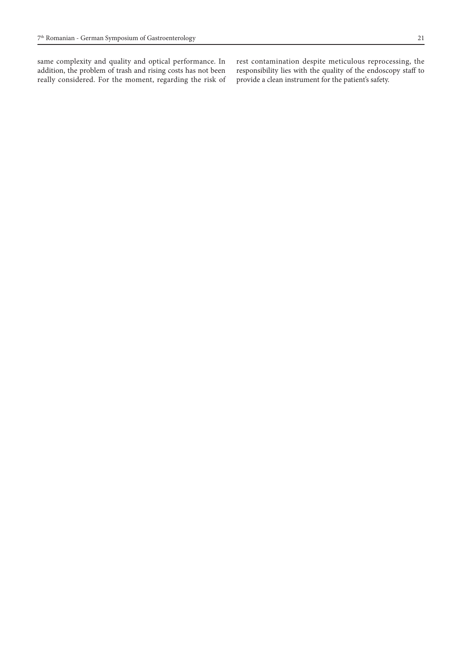same complexity and quality and optical performance. In addition, the problem of trash and rising costs has not been really considered. For the moment, regarding the risk of rest contamination despite meticulous reprocessing, the responsibility lies with the quality of the endoscopy staff to provide a clean instrument for the patient's safety.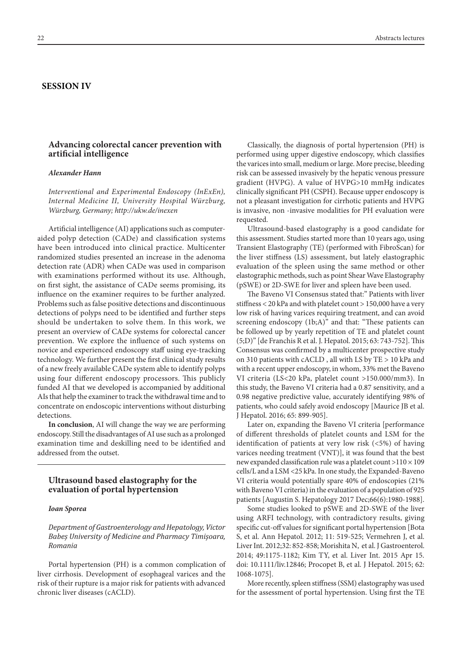#### **SESSION IV**

## **Advancing colorectal cancer prevention with artificial intelligence**

#### *Alexander Hann*

*Interventional and Experimental Endoscopy (InExEn), Internal Medicine II, University Hospital Würzburg, Würzburg, Germany; http://ukw.de/inexen* 

Artificial intelligence (AI) applications such as computeraided polyp detection (CADe) and classification systems have been introduced into clinical practice. Multicenter randomized studies presented an increase in the adenoma detection rate (ADR) when CADe was used in comparison with examinations performed without its use. Although, on first sight, the assistance of CADe seems promising, its influence on the examiner requires to be further analyzed. Problems such as false positive detections and discontinuous detections of polyps need to be identified and further steps should be undertaken to solve them. In this work, we present an overview of CADe systems for colorectal cancer prevention. We explore the influence of such systems on novice and experienced endoscopy staff using eye-tracking technology. We further present the first clinical study results of a new freely available CADe system able to identify polyps using four different endoscopy processors. This publicly funded AI that we developed is accompanied by additional AIs that help the examiner to track the withdrawal time and to concentrate on endoscopic interventions without disturbing detections.

**In conclusion**, AI will change the way we are performing endoscopy. Still the disadvantages of AI use such as a prolonged examination time and deskilling need to be identified and addressed from the outset.

# **Ultrasound based elastography for the evaluation of portal hypertension**

#### *Ioan Sporea*

*Department of Gastroenterology and Hepatology, Victor Babeș University of Medicine and Pharmacy Timișoara, Romania*

Portal hypertension (PH) is a common complication of liver cirrhosis. Development of esophageal varices and the risk of their rupture is a major risk for patients with advanced chronic liver diseases (cACLD).

Classically, the diagnosis of portal hypertension (PH) is performed using upper digestive endoscopy, which classifies the varices into small, medium or large. More precise, bleeding risk can be assessed invasively by the hepatic venous pressure gradient (HVPG). A value of HVPG>10 mmHg indicates clinically significant PH (CSPH). Because upper endoscopy is not a pleasant investigation for cirrhotic patients and HVPG is invasive, non -invasive modalities for PH evaluation were requested.

Ultrasound-based elastography is a good candidate for this assessment. Studies started more than 10 years ago, using Transient Elastography (TE) (performed with FibroScan) for the liver stiffness (LS) assessment, but lately elastographic evaluation of the spleen using the same method or other elastographic methods, such as point Shear Wave Elastography (pSWE) or 2D-SWE for liver and spleen have been used.

The Baveno VI Consensus stated that:" Patients with liver stiffness < 20 kPa and with platelet count > 150,000 have a very low risk of having varices requiring treatment, and can avoid screening endoscopy (1b;A)" and that: "These patients can be followed up by yearly repetition of TE and platelet count (5;D)" [de Franchis R et al. J. Hepatol. 2015; 63: 743-752]. This Consensus was confirmed by a multicenter prospective study on 310 patients with cACLD , all with LS by TE > 10 kPa and with a recent upper endoscopy, in whom, 33% met the Baveno VI criteria (LS<20 kPa, platelet count >150.000/mm3). In this study, the Baveno VI criteria had a 0.87 sensitivity, and a 0.98 negative predictive value, accurately identifying 98% of patients, who could safely avoid endoscopy [Maurice JB et al. J Hepatol. 2016; 65: 899-905].

Later on, expanding the Baveno VI criteria [performance of different thresholds of platelet counts and LSM for the identification of patients at very low risk (<5%) of having varices needing treatment (VNT)], it was found that the best new expanded classification rule was a platelet count >110 × 109 cells/L and a LSM <25 kPa. In one study, the Expanded-Baveno VI criteria would potentially spare 40% of endoscopies (21% with Baveno VI criteria) in the evaluation of a population of 925 patients [Augustin S. Hepatology 2017 Dec;66(6):1980-1988].

Some studies looked to pSWE and 2D-SWE of the liver using ARFI technology, with contradictory results, giving specific cut-off values for significant portal hypertension [Bota S, et al. Ann Hepatol. 2012; 11: 519-525; Vermehren J, et al. Liver Int. 2012;32: 852-858; Morishita N, et al. J Gastroenterol. 2014; 49:1175-1182; Kim TY, et al. Liver Int. 2015 Apr 15. doi: 10.1111/liv.12846; Procopet B, et al. J Hepatol. 2015; 62: 1068-1075].

More recently, spleen stiffness (SSM) elastography was used for the assessment of portal hypertension. Using first the TE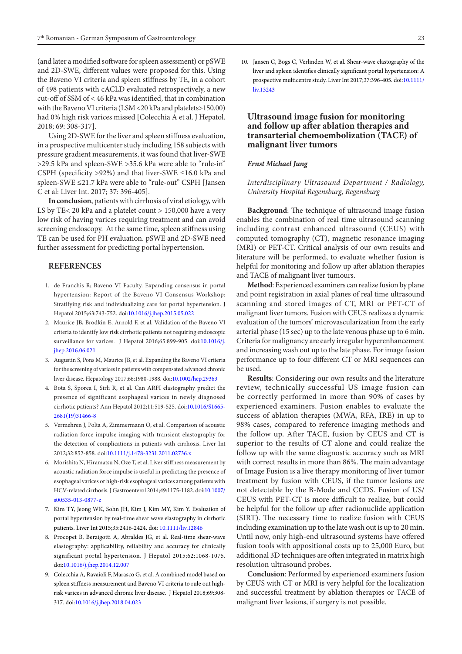(and later a modified software for spleen assessment) or pSWE and 2D-SWE, different values were proposed for this. Using the Baveno VI criteria and spleen stiffness by TE, in a cohort of 498 patients with cACLD evaluated retrospectively, a new cut-off of SSM of < 46 kPa was identified, that in combination with the Baveno VI criteria (LSM <20 kPa and platelets>150.00) had 0% high risk varices missed [Colecchia A et al. J Hepatol. 2018; 69: 308-317].

Using 2D-SWE for the liver and spleen stiffness evaluation, in a prospective multicenter study including 158 subjects with pressure gradient measurements, it was found that liver-SWE >29.5 kPa and spleen-SWE >35.6 kPa were able to "rule-in" CSPH (specificity >92%) and that liver-SWE ≤16.0 kPa and spleen-SWE ≤21.7 kPa were able to "rule-out" CSPH [Jansen C et al: Liver Int. 2017; 37: 396-405].

**In conclusion**, patients with cirrhosis of viral etiology, with LS by TE< 20 kPa and a platelet count > 150,000 have a very low risk of having varices requiring treatment and can avoid screening endoscopy. At the same time, spleen stiffness using TE can be used for PH evaluation. pSWE and 2D-SWE need further assessment for predicting portal hypertension.

#### **REFERENCES**

- 1. de Franchis R; Baveno VI Faculty. Expanding consensus in portal hypertension: Report of the Baveno VI Consensus Workshop: Stratifying risk and individualizing care for portal hypertension. J Hepatol 2015;63:743-752. doi[:10.1016/j.jhep.2015.05.022](http://dx.doi.org/10.1016/j.jhep.2015.05.022)
- 2. Maurice JB, Brodkin E, Arnold F, et al. Validation of the Baveno VI criteria to identify low risk cirrhotic patients not requiring endoscopic surveillance for varices. J Hepatol 2016;65:899-905. doi:[10.1016/j.](http://dx.doi.org/10.1016/j.jhep.2016.06.021) [jhep.2016.06.021](http://dx.doi.org/10.1016/j.jhep.2016.06.021)
- 3. Augustin S, Pons M, Maurice JB, et al. Expanding the Baveno VI criteria for the screening of varices in patients with compensated advanced chronic liver disease. Hepatology 2017;66:1980-1988. doi:[10.1002/hep.29363](http://dx.doi.org/10.1002/hep.29363)
- 4. Bota S, Sporea I, Sirli R, et al. Can ARFI elastography predict the presence of significant esophageal varices in newly diagnosed cirrhotic patients? Ann Hepatol 2012;11:519-525. doi[:10.1016/S1665-](https://doi.org/10.1016/S1665-2681(19)31466-8) [2681\(19\)31466-8](https://doi.org/10.1016/S1665-2681(19)31466-8)
- 5. Vermehren J, Polta A, Zimmermann O, et al. Comparison of acoustic radiation force impulse imaging with transient elastography for the detection of complications in patients with cirrhosis. Liver Int 2012;32:852-858. doi:[10.1111/j.1478-3231.2011.02736.x](http://dx.doi.org/10.1111/j.1478-3231.2011.02736.x)
- 6. Morishita N, Hiramatsu N, Oze T, et al. Liver stiffness measurement by acoustic radiation force impulse is useful in predicting the presence of esophageal varices or high-risk esophageal varices among patients with HCV-related cirrhosis. J Gastroenterol 2014;49:1175-1182. doi:[10.1007/](http://dx.doi.org/10.1007/s00535-013-0877-z) [s00535-013-0877-z](http://dx.doi.org/10.1007/s00535-013-0877-z)
- 7. Kim TY, Jeong WK, Sohn JH, Kim J, Kim MY, Kim Y. Evaluation of portal hypertension by real-time shear wave elastography in cirrhotic patients. Liver Int 2015;35:2416-2424. doi: [10.1111/liv.12846](http://dx.doi.org/10.1111/liv.12846)
- 8. Procopet B, Berzigotti A, Abraldes JG, et al. Real-time shear-wave elastography: applicability, reliability and accuracy for clinically significant portal hypertension. J Hepatol 2015;62:1068-1075. doi:[10.1016/j.jhep.2014.12.007](http://dx.doi.org/10.1016/j.jhep.2014.12.007)
- 9. Colecchia A, Ravaioli F, Marasco G, et al. A combined model based on spleen stiffness measurement and Baveno VI criteria to rule out highrisk varices in advanced chronic liver disease. J Hepatol 2018;69:308- 317. doi:[10.1016/j.jhep.2018.04.023](http://dx.doi.org/10.1016/j.jhep.2018.04.023)

10. Jansen C, Bogs C, Verlinden W, et al. Shear-wave elastography of the liver and spleen identifies clinically significant portal hypertension: A prospective multicentre study. Liver Int 2017;37:396-405. doi:[10.1111/](http://dx.doi.org/10.1111/liv.13243) [liv.13243](http://dx.doi.org/10.1111/liv.13243)

## **Ultrasound image fusion for monitoring and follow up after ablation therapies and transarterial chemoembolization (TACE) of malignant liver tumors**

#### *Ernst Michael Jung*

### *Interdisciplinary Ultrasound Department / Radiology, University Hospital Regensburg, Regensburg*

**Background**: The technique of ultrasound image fusion enables the combination of real time ultrasound scanning including contrast enhanced ultrasound (CEUS) with computed tomography (CT), magnetic resonance imaging (MRI) or PET-CT. Critical analysis of our own results and literature will be performed, to evaluate whether fusion is helpful for monitoring and follow up after ablation therapies and TACE of malignant liver tumours.

**Method**: Experienced examiners can realize fusion by plane and point registration in axial planes of real time ultrasound scanning and stored images of CT, MRI or PET-CT of malignant liver tumors. Fusion with CEUS realizes a dynamic evaluation of the tumors' microvascularization from the early arterial phase (15 sec) up to the late venous phase up to 6 min. Criteria for malignancy are early irregular hyperenhancement and increasing wash out up to the late phase. For image fusion performance up to four different CT or MRI sequences can be used.

**Results**: Considering our own results and the literature review, technically successful US image fusion can be correctly performed in more than 90% of cases by experienced examiners. Fusion enables to evaluate the success of ablation therapies (MWA, RFA, IRE) in up to 98% cases, compared to reference imaging methods and the follow up. After TACE, fusion by CEUS and CT is superior to the results of CT alone and could realize the follow up with the same diagnostic accuracy such as MRI with correct results in more than 86%. The main advantage of Image Fusion is a live therapy monitoring of liver tumor treatment by fusion with CEUS, if the tumor lesions are not detectable by the B-Mode and CCDS. Fusion of US/ CEUS with PET-CT is more difficult to realize, but could be helpful for the follow up after radionuclide application (SIRT). The necessary time to realize fusion with CEUS including examination up to the late wash out is up to 20 min. Until now, only high-end ultrasound systems have offered fusion tools with appositional costs up to 25,000 Euro, but additional 3D techniques are often integrated in matrix high resolution ultrasound probes.

**Conclusion**: Performed by experienced examiners fusion by CEUS with CT or MRI is very helpful for the localization and successful treatment by ablation therapies or TACE of malignant liver lesions, if surgery is not possible.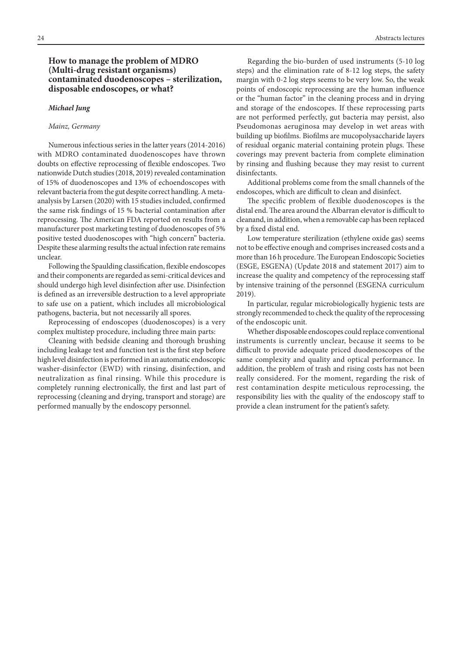## **How to manage the problem of MDRO (Multi-drug resistant organisms) contaminated duodenoscopes – sterilization, disposable endoscopes, or what?**

#### *Michael Jung*

#### *Mainz, Germany*

Numerous infectious series in the latter years (2014-2016) with MDRO contaminated duodenoscopes have thrown doubts on effective reprocessing of flexible endoscopes. Two nationwide Dutch studies (2018, 2019) revealed contamination of 15% of duodenoscopes and 13% of echoendoscopes with relevant bacteria from the gut despite correct handling. A metaanalysis by Larsen (2020) with 15 studies included, confirmed the same risk findings of 15 % bacterial contamination after reprocessing. The American FDA reported on results from a manufacturer post marketing testing of duodenoscopes of 5% positive tested duodenoscopes with "high concern" bacteria. Despite these alarming results the actual infection rate remains unclear.

Following the Spaulding classification, flexible endoscopes and their components are regarded as semi-critical devices and should undergo high level disinfection after use. Disinfection is defined as an irreversible destruction to a level appropriate to safe use on a patient, which includes all microbiological pathogens, bacteria, but not necessarily all spores.

Reprocessing of endoscopes (duodenoscopes) is a very complex multistep procedure, including three main parts:

Cleaning with bedside cleaning and thorough brushing including leakage test and function test is the first step before high level disinfection is performed in an automatic endoscopic washer-disinfector (EWD) with rinsing, disinfection, and neutralization as final rinsing. While this procedure is completely running electronically, the first and last part of reprocessing (cleaning and drying, transport and storage) are performed manually by the endoscopy personnel.

Regarding the bio-burden of used instruments (5-10 log steps) and the elimination rate of 8-12 log steps, the safety margin with 0-2 log steps seems to be very low. So, the weak points of endoscopic reprocessing are the human influence or the "human factor" in the cleaning process and in drying and storage of the endoscopes. If these reprocessing parts are not performed perfectly, gut bacteria may persist, also Pseudomonas aeruginosa may develop in wet areas with building up biofilms. Biofilms are mucopolysaccharide layers of residual organic material containing protein plugs. These coverings may prevent bacteria from complete elimination by rinsing and flushing because they may resist to current disinfectants.

Additional problems come from the small channels of the endoscopes, which are difficult to clean and disinfect.

The specific problem of flexible duodenoscopes is the distal end. The area around the Albarran elevator is difficult to cleanand, in addition, when a removable cap has been replaced by a fixed distal end.

Low temperature sterilization (ethylene oxide gas) seems not to be effective enough and comprises increased costs and a more than 16 h procedure. The European Endoscopic Societies (ESGE, ESGENA) (Update 2018 and statement 2017) aim to increase the quality and competency of the reprocessing staff by intensive training of the personnel (ESGENA curriculum 2019).

In particular, regular microbiologically hygienic tests are strongly recommended to check the quality of the reprocessing of the endoscopic unit.

Whether disposable endoscopes could replace conventional instruments is currently unclear, because it seems to be difficult to provide adequate priced duodenoscopes of the same complexity and quality and optical performance. In addition, the problem of trash and rising costs has not been really considered. For the moment, regarding the risk of rest contamination despite meticulous reprocessing, the responsibility lies with the quality of the endoscopy staff to provide a clean instrument for the patient's safety.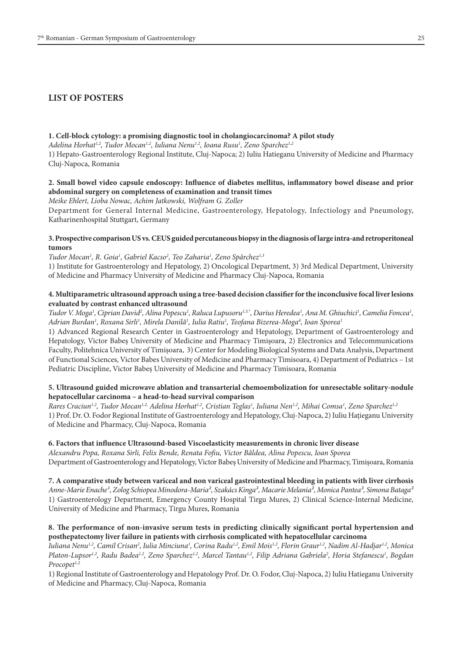# **LIST OF POSTERS**

#### **1. Cell-block cytology: a promising diagnostic tool in cholangiocarcinoma? A pilot study**

*Adelina Horhat1,2, Tudor Mocan1,2, Iuliana Nenu1,2, Ioana Rusu1 , Zeno Sparchez1,2*

1) Hepato-Gastroenterology Regional Institute, Cluj-Napoca; 2) Iuliu Hatieganu University of Medicine and Pharmacy Cluj-Napoca, Romania

## **2. Small bowel video capsule endoscopy: Influence of diabetes mellitus, inflammatory bowel disease and prior abdominal surgery on completeness of examination and transit times**

*Meike Ehlert, Lioba Nowac, Achim Jatkowski, Wolfram G. Zoller*

Department for General Internal Medicine, Gastroenterology, Hepatology, Infectiology and Pneumology, Katharinenhospital Stuttgart, Germany

## **3. Prospective comparison US vs. CEUS guided percutaneous biopsy in the diagnosis of large intra-and retroperitoneal tumors**

*Tudor Mocan1 , R. Goia1 , Gabriel Kacso2 , Teo Zaharia1 , Zeno Spârchez1,3*

1) Institute for Gastroenterology and Hepatology, 2) Oncological Department, 3) 3rd Medical Department, University of Medicine and Pharmacy University of Medicine and Pharmacy Cluj-Napoca, Romania

## **4. Multiparametric ultrasound approach using a tree-based decision classifier for the inconclusive focal liver lesions evaluated by contrast enhanced ultrasound**

*Tudor V. Moga1 , Ciprian David2 , Alina Popescu1 , Raluca Lupusoru1,3,\*, Darius Heredea1 , Ana M. Ghiuchici1 , Camelia Foncea1 , Adrian Burdan1 , Roxana Sirli1 , Mirela Danilă1 , Iulia Ratiu1 , Teofana Bizerea-Moga4 , Ioan Sporea1*

1) Advanced Regional Research Center in Gastroenterology and Hepatology, Department of Gastroenterology and Hepatology, Victor Babeş University of Medicine and Pharmacy Timişoara, 2) Electronics and Telecommunications Faculty, Politehnica University of Timișoara, 3) Center for Modeling Biological Systems and Data Analysis, Department of Functional Sciences, Victor Babes University of Medicine and Pharmacy Timisoara, 4) Department of Pediatrics – 1st Pediatric Discipline, Victor Babeș University of Medicine and Pharmacy Timisoara, Romania

## **5. Ultrasound guided microwave ablation and transarterial chemoembolization for unresectable solitary-nodule hepatocellular carcinoma – a head-to-head survival comparison**

*Rares Craciun1,2, Tudor Mocan1,2, Adelina Horhat1,2, Cristian Teglas1 , Iuliana Nen1,2, Mihai Comsa1 , Zeno Sparchez1,2* 1) Prof. Dr. O. Fodor Regional Institute of Gastroenterology and Hepatology, Cluj-Napoca, 2) Iuliu Hațieganu University of Medicine and Pharmacy, Cluj-Napoca, Romania

## **6. Factors that influence Ultrasound-based Viscoelasticity measurements in chronic liver disease**

*Alexandru Popa, Roxana Sirli, Felix Bende, Renata Fofiu, Victor Bâldea, Alina Popescu, Ioan Sporea* Department of Gastroenterology and Hepatology, Victor Babeș University of Medicine and Pharmacy, Timișoara, Romania

**7. A comparative study between variceal and non variceal gastrointestinal bleeding in patients with liver cirrhosis** *Anne-Marie Enache¹, Zolog Schiopea Minodora-Maria², Szakács Kinga², Macarie Melania², Monica Pantea², Simona Bataga²* 1) Gastroenterology Department, Emergency County Hospital Tirgu Mures, 2) Clinical Science-Internal Medicine, University of Medicine and Pharmacy, Tirgu Mures, Romania

## **8. The performance of non-invasive serum tests in predicting clinically significant portal hypertension and posthepatectomy liver failure in patients with cirrhosis complicated with hepatocellular carcinoma**

Iuliana Nenu<sup>1,2</sup>, Camil Crisan<sup>2</sup>, Iulia Minciuna<sup>1</sup>, Corina Radu<sup>1,2</sup>, Emil Mois<sup>1,2</sup>, Florin Graur<sup>1,2</sup>, Nadim Al-Hadjar<sup>1,2</sup>, Monica *Platon-Lupsor1,2, Radu Badea1,2, Zeno Sparchez1,2, Marcel Tantau1,2, Filip Adriana Gabriela2 , Horia Stefanescu1 , Bogdan Procopet1,2*

1) Regional Institute of Gastroenterology and Hepatology Prof. Dr. O. Fodor, Cluj-Napoca, 2) Iuliu Hatieganu University of Medicine and Pharmacy, Cluj-Napoca, Romania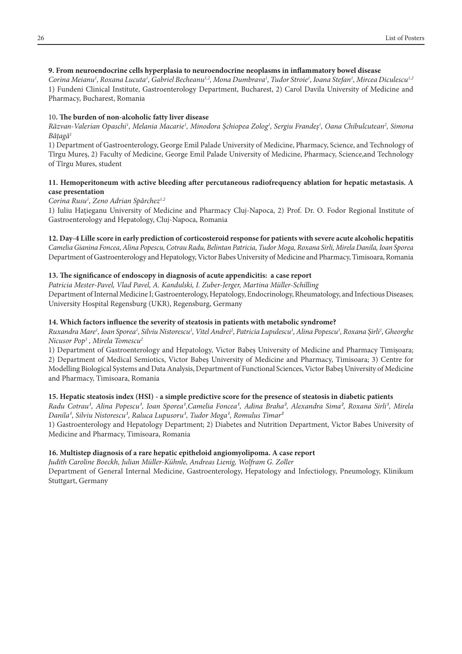## **9. From neuroendocrine cells hyperplasia to neuroendocrine neoplasms in inflammatory bowel disease**

*Corina Meianu1 , Roxana Lucuta1 , Gabriel Becheanu1,2, Mona Dumbrava1 , Tudor Stroie1 , Ioana Stefan1 , Mircea Diculescu1,2* 1) Fundeni Clinical Institute, Gastroenterology Department, Bucharest, 2) Carol Davila University of Medicine and Pharmacy, Bucharest, Romania

## 10**. The burden of non-alcoholic fatty liver disease**

Răzvan-Valerian Opaschi<sup>ı</sup>, Melania Macarie<sup>ı</sup>, Minodora Şchiopea Zolog<sup>ı</sup>, Sergiu Frandeş<sup>ı</sup>, Oana Chibulcutean<sup>2</sup>, Simona *Bățagă1*

1) Department of Gastroenterology, George Emil Palade University of Medicine, Pharmacy, Science, and Technology of Tîrgu Mureș, 2) Faculty of Medicine, George Emil Palade University of Medicine, Pharmacy, Science,and Technology of Tîrgu Mures, student

## **11. Hemoperitoneum with active bleeding after percutaneous radiofrequency ablation for hepatic metastasis. A case presentation**

# *Corina Rusu1 , Zeno Adrian Spârchez1,2*

Stuttgart, Germany

1) Iuliu Hațieganu University of Medicine and Pharmacy Cluj-Napoca, 2) Prof. Dr. O. Fodor Regional Institute of Gastroenterology and Hepatology, Cluj-Napoca, Romania

## **12. Day-4 Lille score in early prediction of corticosteroid response for patients with severe acute alcoholic hepatitis**

*Camelia Gianina Foncea, Alina Popescu, Cotrau Radu, Belintan Patricia, Tudor Moga, Roxana Sirli, Mirela Danila, Ioan Sporea* Department of Gastroenterology and Hepatology, Victor Babes University of Medicine and Pharmacy, Timisoara, Romania

# **13. The significance of endoscopy in diagnosis of acute appendicitis: a case report**

*Patricia Mester-Pavel, Vlad Pavel, A. Kandulski, I. Zuber-Jerger, Martina Müller-Schilling* Department of Internal Medicine I; Gastroenterology, Hepatology, Endocrinology, Rheumatology, and Infectious Diseases; University Hospital Regensburg (UKR), Regensburg, Germany

# **14. Which factors influence the severity of steatosis in patients with metabolic syndrome?**

*Ruxandra Mare1 , Ioan Sporea1 , Silviu Nistorescu1 , Vitel Andrei2 , Patricia Lupulescu1 , Alina Popescu1 , Roxana Șirli1 , Gheorghe Nicusor Pop3 , Mirela Tomescu2*

1) Department of Gastroenterology and Hepatology, Victor Babeș University of Medicine and Pharmacy Timișoara; 2) Department of Medical Semiotics, Victor Babeş University of Medicine and Pharmacy, Timisoara; 3) Centre for Modelling Biological Systems and Data Analysis, Department of Functional Sciences, Victor Babeş University of Medicine and Pharmacy, Timisoara, Romania

# **15. Hepatic steatosis index (HSI) - a simple predictive score for the presence of steatosis in diabetic patients**

Radu Cotrau<sup>1</sup>, Alina Popescu<sup>1</sup>, Ioan Sporea<sup>1</sup>, Camelia Foncea<sup>1</sup>, Adina Braha<sup>2</sup>, Alexandra Sima<sup>2</sup>, Roxana Sirli<sup>1</sup>, Mirela *Danila<sup>1</sup>*, Silviu Nistorescu<sup>1</sup>, Raluca Lupusoru<sup>1</sup>, Tudor Moga<sup>1</sup>, Romulus Timar<sup>2</sup>

1) Gastroenterology and Hepatology Department; 2) Diabetes and Nutrition Department, Victor Babes University of Medicine and Pharmacy, Timisoara, Romania

# **16. Multistep diagnosis of a rare hepatic epitheloid angiomyolipoma. A case report**

*Judith Caroline Boeckh, Julian Müller-Kühnle, Andreas Lienig, Wolfram G. Zoller* Department of General Internal Medicine, Gastroenterology, Hepatology and Infectiology, Pneumology, Klinikum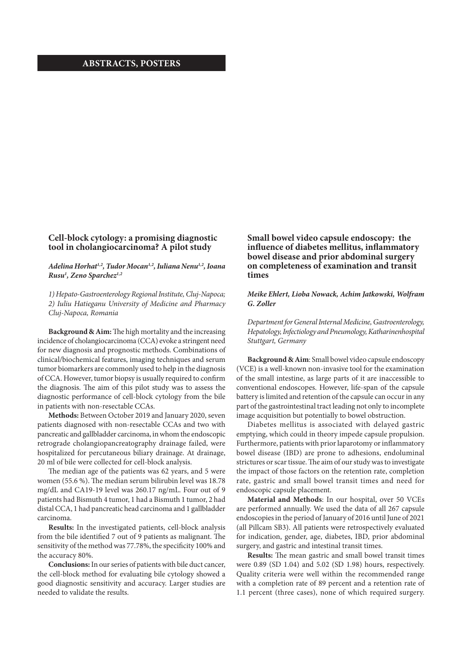## **ABSTRACTS, POSTERS**

## **Cell-block cytology: a promising diagnostic tool in cholangiocarcinoma? A pilot study**

## *Adelina Horhat1,2, Tudor Mocan1,2, Iuliana Nenu1,2, Ioana Rusu1 , Zeno Sparchez1,2*

*1) Hepato-Gastroenterology Regional Institute, Cluj-Napoca; 2) Iuliu Hatieganu University of Medicine and Pharmacy Cluj-Napoca, Romania*

**Background & Aim:** The high mortality and the increasing incidence of cholangiocarcinoma (CCA) evoke a stringent need for new diagnosis and prognostic methods. Combinations of clinical/biochemical features, imaging techniques and serum tumor biomarkers are commonly used to help in the diagnosis of CCA. However, tumor biopsy is usually required to confirm the diagnosis. The aim of this pilot study was to assess the diagnostic performance of cell-block cytology from the bile in patients with non-resectable CCAs.

**Methods:** Between October 2019 and January 2020, seven patients diagnosed with non-resectable CCAs and two with pancreatic and gallbladder carcinoma, in whom the endoscopic retrograde cholangiopancreatography drainage failed, were hospitalized for percutaneous biliary drainage. At drainage, 20 ml of bile were collected for cell-block analysis.

The median age of the patients was 62 years, and 5 were women (55.6 %). The median serum bilirubin level was 18.78 mg/dL and CA19-19 level was 260.17 ng/mL. Four out of 9 patients had Bismuth 4 tumor, 1 had a Bismuth 1 tumor, 2 had distal CCA, 1 had pancreatic head carcinoma and 1 gallbladder carcinoma.

**Results:** In the investigated patients, cell-block analysis from the bile identified 7 out of 9 patients as malignant. The sensitivity of the method was 77.78%, the specificity 100% and the accuracy 80%.

**Conclusions:** In our series of patients with bile duct cancer, the cell-block method for evaluating bile cytology showed a good diagnostic sensitivity and accuracy. Larger studies are needed to validate the results.

# **Small bowel video capsule endoscopy: the influence of diabetes mellitus, inflammatory bowel disease and prior abdominal surgery on completeness of examination and transit times**

### *Meike Ehlert, Lioba Nowack, Achim Jatkowski, Wolfram G. Zoller*

*Department for General Internal Medicine, Gastroenterology, Hepatology, Infectiology and Pneumology, Katharinenhospital Stuttgart, Germany*

**Background & Aim**: Small bowel video capsule endoscopy (VCE) is a well-known non-invasive tool for the examination of the small intestine, as large parts of it are inaccessible to conventional endoscopes. However, life-span of the capsule battery is limited and retention of the capsule can occur in any part of the gastrointestinal tract leading not only to incomplete image acquisition but potentially to bowel obstruction.

Diabetes mellitus is associated with delayed gastric emptying, which could in theory impede capsule propulsion. Furthermore, patients with prior laparotomy or inflammatory bowel disease (IBD) are prone to adhesions, endoluminal strictures or scar tissue. The aim of our study was to investigate the impact of those factors on the retention rate, completion rate, gastric and small bowel transit times and need for endoscopic capsule placement.

**Material and Methods**: In our hospital, over 50 VCEs are performed annually. We used the data of all 267 capsule endoscopies in the period of January of 2016 until June of 2021 (all Pillcam SB3). All patients were retrospectively evaluated for indication, gender, age, diabetes, IBD, prior abdominal surgery, and gastric and intestinal transit times.

**Results:** The mean gastric and small bowel transit times were 0.89 (SD 1.04) and 5.02 (SD 1.98) hours, respectively. Quality criteria were well within the recommended range with a completion rate of 89 percent and a retention rate of 1.1 percent (three cases), none of which required surgery.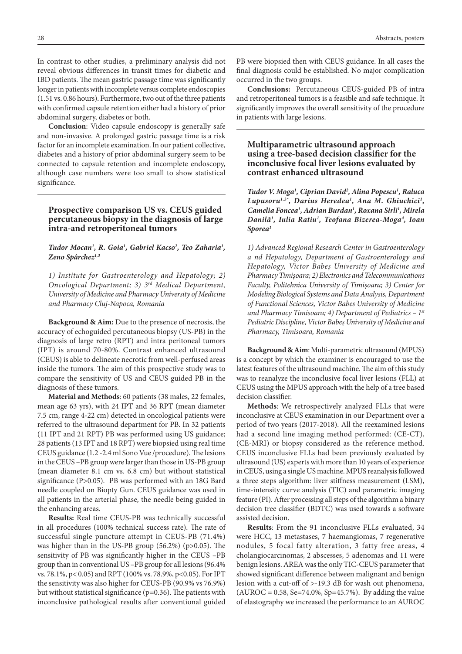In contrast to other studies, a preliminary analysis did not reveal obvious differences in transit times for diabetic and IBD patients. The mean gastric passage time was significantly longer in patients with incomplete versus complete endoscopies (1.51 vs. 0.86 hours). Furthermore, two out of the three patients with confirmed capsule retention either had a history of prior abdominal surgery, diabetes or both.

**Conclusion**: Video capsule endoscopy is generally safe and non-invasive. A prolonged gastric passage time is a risk factor for an incomplete examination. In our patient collective, diabetes and a history of prior abdominal surgery seem to be connected to capsule retention and incomplete endoscopy, although case numbers were too small to show statistical significance.

## **Prospective comparison US vs. CEUS guided percutaneous biopsy in the diagnosis of large intra-and retroperitoneal tumors**

#### *Tudor Mocan1 , R. Goia1 , Gabriel Kacso2 , Teo Zaharia1 , Zeno Spârchez1,3*

*1) Institute for Gastroenterology and Hepatology; 2) Oncological Department; 3) 3rd Medical Department, University of Medicine and Pharmacy University of Medicine and Pharmacy Cluj-Napoca, Romania*

**Background & Aim:** Due to the presence of necrosis, the accuracy of echoguided percutaneous biopsy (US-PB) in the diagnosis of large retro (RPT) and intra peritoneal tumors (IPT) is around 70-80%. Contrast enhanced ultrasound (CEUS) is able to delineate necrotic from well-perfused areas inside the tumors. The aim of this prospective study was to compare the sensitivity of US and CEUS guided PB in the diagnosis of these tumors.

**Material and Methods**: 60 patients (38 males, 22 females, mean age 63 yrs), with 24 IPT and 36 RPT (mean diameter 7.5 cm, range 4-22 cm) detected in oncological patients were referred to the ultrasound department for PB. In 32 patients (11 IPT and 21 RPT) PB was performed using US guidance; 28 patients (13 IPT and 18 RPT) were biopsied using real time CEUS guidance (1.2 -2.4 ml Sono Vue /procedure). The lesions in the CEUS –PB group were larger than those in US-PB group (mean diameter 8.1 cm vs. 6.8 cm) but without statistical significance (P>0.05). PB was performed with an 18G Bard needle coupled on Biopty Gun. CEUS guidance was used in all patients in the arterial phase, the needle being guided in the enhancing areas.

**Results:** Real time CEUS-PB was technically successful in all procedures (100% technical success rate). The rate of successful single puncture attempt in CEUS-PB (71.4%) was higher than in the US-PB group (56.2%) (p>0.05). The sensitivity of PB was significantly higher in the CEUS –PB group than in conventional US –PB group for all lesions (96.4% vs. 78.1%, p< 0.05) and RPT (100% vs. 78.9%, p<0.05). For IPT the sensitivity was also higher for CEUS-PB (90.9% vs 76.9%) but without statistical significance (p=0.36). The patients with inconclusive pathological results after conventional guided

PB were biopsied then with CEUS guidance. In all cases the final diagnosis could be established. No major complication occurred in the two groups.

**Conclusions:** Percutaneous CEUS-guided PB of intra and retroperitoneal tumors is a feasible and safe technique. It significantly improves the overall sensitivity of the procedure in patients with large lesions.

## **Multiparametric ultrasound approach using a tree-based decision classifier for the inconclusive focal liver lesions evaluated by contrast enhanced ultrasound**

*Tudor V. Moga1 , Ciprian David2 , Alina Popescu1 , Raluca*  Lupusoru<sup>1,3\*</sup>, Darius Heredea<sup>1</sup>, Ana M. Ghiuchici<sup>1</sup>, *Camelia Foncea1 , Adrian Burdan1 , Roxana Sirli1 , Mirela Danilă1 , Iulia Ratiu1 , Teofana Bizerea-Moga4 , Ioan Sporea1*

*1) Advanced Regional Research Center in Gastroenterology a nd Hepatology, Department of Gastroenterology and Hepatology, Victor Babeş University of Medicine and Pharmacy Timişoara; 2) Electronics and Telecommunications Faculty, Politehnica University of Timișoara; 3) Center for Modeling Biological Systems and Data Analysis, Department of Functional Sciences, Victor Babes University of Medicine and Pharmacy Timisoara; 4) Department of Pediatrics – 1st Pediatric Discipline, Victor Babeș University of Medicine and Pharmacy, Timisoara, Romania*

**Background & Aim**: Multi-parametric ultrasound (MPUS) is a concept by which the examiner is encouraged to use the latest features of the ultrasound machine. The aim of this study was to reanalyze the inconclusive focal liver lesions (FLL) at CEUS using the MPUS approach with the help of a tree based decision classifier.

**Methods**: We retrospectively analyzed FLLs that were inconclusive at CEUS examination in our Department over a period of two years (2017-2018). All the reexamined lesions had a second line imaging method performed: (CE-CT), (CE-MRI) or biopsy considered as the reference method. CEUS inconclusive FLLs had been previously evaluated by ultrasound (US) experts with more than 10 years of experience in CEUS, using a single US machine. MPUS reanalysis followed a three steps algorithm: liver stiffness measurement (LSM), time-intensity curve analysis (TIC) and parametric imaging feature (PI). After processing all steps of the algorithm a binary decision tree classifier (BDTC) was used towards a software assisted decision.

**Results**: From the 91 inconclusive FLLs evaluated, 34 were HCC, 13 metastases, 7 haemangiomas, 7 regenerative nodules, 5 focal fatty alteration, 3 fatty free areas, 4 cholangiocarcinomas, 2 abscesses, 5 adenomas and 11 were benign lesions. AREA was the only TIC-CEUS parameter that showed significant difference between malignant and benign lesion with a cut-off of >-19.3 dB for wash out phenomena,  $(AUROC = 0.58, Se=74.0%, Sp=45.7%).$  By adding the value of elastography we increased the performance to an AUROC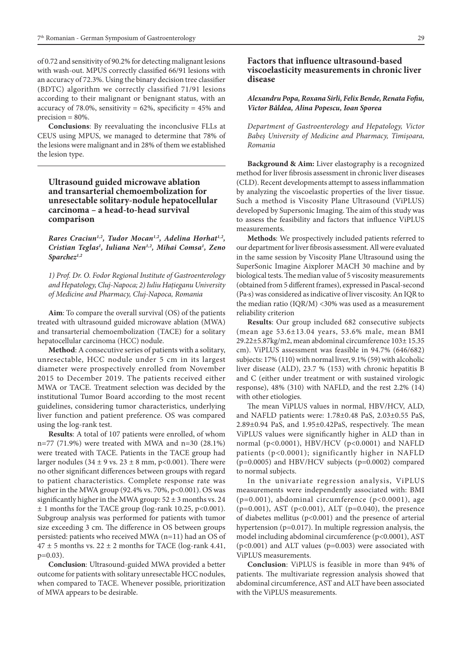of 0.72 and sensitivity of 90.2% for detecting malignant lesions with wash-out. MPUS correctly classified 66/91 lesions with an accuracy of 72.3%. Using the binary decision tree classifier (BDTC) algorithm we correctly classified 71/91 lesions according to their malignant or benignant status, with an accuracy of 78.0%, sensitivity =  $62\%$ , specificity =  $45\%$  and  $precision = 80\%$ .

**Conclusions**: By reevaluating the inconclusive FLLs at CEUS using MPUS, we managed to determine that 78% of the lesions were malignant and in 28% of them we established the lesion type.

# **Ultrasound guided microwave ablation and transarterial chemoembolization for unresectable solitary-nodule hepatocellular carcinoma – a head-to-head survival comparison**

Rares Craciun<sup>1,2</sup>, Tudor Mocan<sup>1,2</sup>, Adelina Horhat<sup>1,2</sup>, *Cristian Teglas1 , Iuliana Nen1,2, Mihai Comsa1 , Zeno Sparchez1,2*

*1) Prof. Dr. O. Fodor Regional Institute of Gastroenterology and Hepatology, Cluj-Napoca; 2) Iuliu Hațieganu University of Medicine and Pharmacy, Cluj-Napoca, Romania* 

**Aim**: To compare the overall survival (OS) of the patients treated with ultrasound guided microwave ablation (MWA) and transarterial chemoembolization (TACE) for a solitary hepatocellular carcinoma (HCC) nodule.

**Method**: A consecutive series of patients with a solitary, unresectable, HCC nodule under 5 cm in its largest diameter were prospectively enrolled from November 2015 to December 2019. The patients received either MWA or TACE. Treatment selection was decided by the institutional Tumor Board according to the most recent guidelines, considering tumor characteristics, underlying liver function and patient preference. OS was compared using the log-rank test.

**Results**: A total of 107 patients were enrolled, of whom n=77 (71.9%) were treated with MWA and n=30 (28.1%) were treated with TACE. Patients in the TACE group had larger nodules (34  $\pm$  9 vs. 23  $\pm$  8 mm, p<0.001). There were no other significant differences between groups with regard to patient characteristics. Complete response rate was higher in the MWA group (92.4% vs. 70%, p<0.001). OS was significantly higher in the MWA group:  $52 \pm 3$  months vs. 24 ± 1 months for the TACE group (log-rank 10.25, p<0.001). Subgroup analysis was performed for patients with tumor size exceeding 3 cm. The difference in OS between groups persisted: patients who received MWA (n=11) had an OS of  $47 \pm 5$  months vs. 22  $\pm$  2 months for TACE (log-rank 4.41, p=0.03).

**Conclusion**: Ultrasound-guided MWA provided a better outcome for patients with solitary unresectable HCC nodules, when compared to TACE. Whenever possible, prioritization of MWA appears to be desirable.

## **Factors that influence ultrasound-based viscoelasticity measurements in chronic liver disease**

### *Alexandru Popa, Roxana Sirli, Felix Bende, Renata Fofiu, Victor Bâldea, Alina Popescu, Ioan Sporea*

*Department of Gastroenterology and Hepatology, Victor Babeș University of Medicine and Pharmacy, Timișoara, Romania*

**Background & Aim:** Liver elastography is a recognized method for liver fibrosis assessment in chronic liver diseases (CLD). Recent developments attempt to assess inflammation by analyzing the viscoelastic properties of the liver tissue. Such a method is Viscosity Plane Ultrasound (ViPLUS) developed by Supersonic Imaging. The aim of this study was to assess the feasibility and factors that influence ViPLUS measurements.

**Methods**: We prospectively included patients referred to our department for liver fibrosis assessment. All were evaluated in the same session by Viscosity Plane Ultrasound using the SuperSonic Imagine Aixplorer MACH 30 machine and by biological tests. The median value of 5 viscosity measurements (obtained from 5 different frames), expressed in Pascal-second (Pa·s) was considered as indicative of liver viscosity. An IQR to the median ratio (IQR/M) <30% was used as a measurement reliability criterion

**Results**: Our group included 682 consecutive subjects (mean age 53.6±13.04 years, 53.6% male, mean BMI 29.22±5.87kg/m2, mean abdominal circumference 103± 15.35 cm). ViPLUS assessment was feasible in 94.7% (646/682) subjects: 17% (110) with normal liver, 9.1% (59) with alcoholic liver disease (ALD), 23.7 % (153) with chronic hepatitis B and C (either under treatment or with sustained virologic response), 48% (310) with NAFLD, and the rest 2.2% (14) with other etiologies.

The mean ViPLUS values in normal, HBV/HCV, ALD, and NAFLD patients were: 1.78±0.48 PaS, 2.03±0.55 PaS, 2.89±0.94 PaS, and 1.95±0.42PaS, respectively. The mean ViPLUS values were significantly higher in ALD than in normal (p<0.0001), HBV/HCV (p<0.0001) and NAFLD patients (p<0.0001); significantly higher in NAFLD (p=0.0005) and HBV/HCV subjects (p=0.0002) compared to normal subjects.

In the univariate regression analysis, ViPLUS measurements were independently associated with: BMI (p=0.001), abdominal circumference (p<0.0001), age (p=0.001), AST (p<0.001), ALT (p=0.040), the presence of diabetes mellitus (p<0.001) and the presence of arterial hypertension (p=0.017). In multiple regression analysis, the model including abdominal circumference (p<0.0001), AST (p<0.001) and ALT values (p=0.003) were associated with ViPLUS measurements.

**Conclusion**: ViPLUS is feasible in more than 94% of patients. The multivariate regression analysis showed that abdominal circumference, AST and ALT have been associated with the ViPLUS measurements.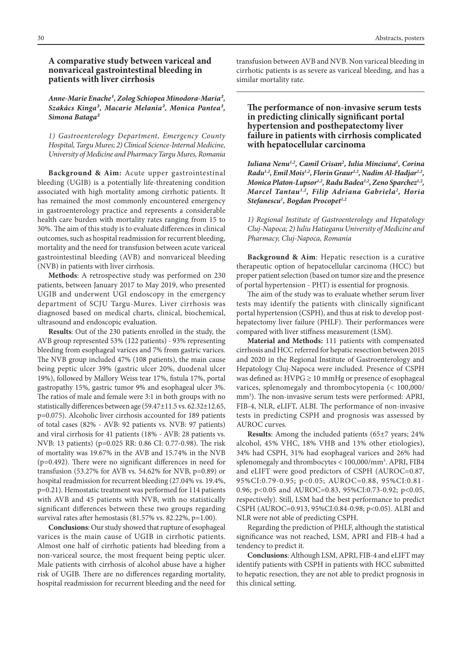## **A comparative study between variceal and nonvariceal gastrointestinal bleeding in patients with liver cirrhosis**

Anne-Marie Enache<sup>1</sup>, Zolog Schiopea Minodora-Maria<sup>2</sup>, *Szakács Kinga², Macarie Melania², Monica Pantea², Simona Bataga²*

*1) Gastroenterology Department, Emergency County Hospital, Targu Mures; 2) Clinical Science-Internal Medicine, University of Medicine and Pharmacy Targu Mures, Romania*

**Background & Aim:** Acute upper gastrointestinal bleeding (UGIB) is a potentially life-threatening condition associated with high mortality among cirrhotic patients. It has remained the most commonly encountered emergency in gastroenterology practice and represents a considerable health care burden with mortality rates ranging from 15 to 30%. The aim of this study is to evaluate differences in clinical outcomes, such as hospital readmission for recurrent bleeding, mortality and the need for transfusion between acute variceal gastrointestinal bleeding (AVB) and nonvariceal bleeding (NVB) in patients with liver cirrhosis.

**Methods**: A retrospective study was performed on 230 patients, between January 2017 to May 2019, who presented UGIB and underwent UGI endoscopy in the emergency department of SCJU Targu-Mures. Liver cirrhosis was diagnosed based on medical charts, clinical, biochemical, ultrasound and endoscopic evaluation.

**Results**: Out of the 230 patients enrolled in the study, the AVB group represented 53% (122 patients) - 93% representing bleeding from esophageal varices and 7% from gastric varices. The NVB group included 47% (108 patients), the main cause being peptic ulcer 39% (gastric ulcer 20%, duodenal ulcer 19%), followed by Mallory Weiss tear 17%, fistula 17%, portal gastropathy 15%, gastric tumor 9% and esophageal ulcer 3%. The ratios of male and female were 3:1 in both groups with no statistically differences between age (59.47±11.5 vs. 62.32±12.65, p=0.075). Alcoholic liver cirrhosis accounted for 189 patients of total cases (82% - AVB: 92 patients vs. NVB: 97 patients) and viral cirrhosis for 41 patients (18% - AVB: 28 patients vs. NVB: 13 patients) (p=0.025 RR: 0.86 CI: 0.77-0.98). The risk of mortality was 19.67% in the AVB and 15.74% in the NVB (p=0.492). There were no significant differences in need for transfusion (53.27% for AVB vs. 54.62% for NVB, p=0.89) or hospital readmission for recurrent bleeding (27.04% vs. 19.4%, p=0.21). Hemostatic treatment was performed for 114 patients with AVB and 45 patients with NVB, with no statistically significant differences between these two groups regarding survival rates after hemostasis (81.57% vs. 82.22%, p=1.00).

**Conclusions**: Our study showed that rupture of esophageal varices is the main cause of UGIB in cirrhotic patients. Almost one half of cirrhotic patients had bleeding from a non-variceal source, the most frequent being peptic ulcer. Male patients with cirrhosis of alcohol abuse have a higher risk of UGIB. There are no differences regarding mortality, hospital readmission for recurrent bleeding and the need for

transfusion between AVB and NVB. Non variceal bleeding in cirrhotic patients is as severe as variceal bleeding, and has a similar mortality rate.

**The performance of non-invasive serum tests in predicting clinically significant portal hypertension and posthepatectomy liver failure in patients with cirrhosis complicated with hepatocellular carcinoma**

Iuliana Nenu<sup>1,2</sup>, Camil Crisan<sup>2</sup>, Iulia Minciuna<sup>1</sup>, Corina *Radu1,2, Emil Mois1,2, Florin Graur1,2, Nadim Al-Hadjar1,2, Monica Platon-Lupsor1,2, Radu Badea1,2, Zeno Sparchez1,2, Marcel Tantau1,2, Filip Adriana Gabriela2 , Horia Stefanescu1 , Bogdan Procopet1,2*

*1) Regional Institute of Gastroenterology and Hepatology Cluj-Napoca; 2) Iuliu Hatieganu University of Medicine and Pharmacy, Cluj-Napoca, Romania*

**Background & Aim**: Hepatic resection is a curative therapeutic option of hepatocellular carcinoma (HCC) but proper patient selection (based on tumor size and the presence of portal hypertension - PHT) is essential for prognosis.

The aim of the study was to evaluate whether serum liver tests may identify the patients with clinically significant portal hypertension (CSPH), and thus at risk to develop posthepatectomy liver failure (PHLF). Their performances were compared with liver stiffness measurement (LSM).

**Material and Methods:** 111 patients with compensated cirrhosis and HCC referred for hepatic resection between 2015 and 2020 in the Regional Institute of Gastroenterology and Hepatology Cluj-Napoca were included. Presence of CSPH was defined as:  $HVPG \geq 10$  mmHg or presence of esophageal varices, splenomegaly and thrombocytopenia (< 100,000/ mm<sup>3</sup>). The non-invasive serum tests were performed: APRI, FIB-4, NLR, eLIFT, ALBI. The performance of non-invasive tests in predicting CSPH and prognosis was assessed by AUROC curves.

**Results**: Among the included patients (65±7 years; 24% alcohol, 45% VHC, 18% VHB and 13% other etiologies), 34% had CSPH, 31% had esophageal varices and 26% had splenomegaly and thrombocytes < 100,000/mm3 . APRI, FIB4 and eLIFT were good predictors of CSPH (AUROC=0.87, 95%CI:0.79-0.95; p<0.05; AUROC=0.88, 95%CI:0.81- 0.96; p<0.05 and AUROC=0.83, 95%CI:0.73-0.92; p<0.05, respectively). Still, LSM had the best performance to predict CSPH (AUROC=0.913, 95%CI:0.84-0.98; p<0.05). ALBI and NLR were not able of predicting CSPH.

Regarding the prediction of PHLF, although the statistical significance was not reached, LSM, APRI and FIB-4 had a tendency to predict it.

**Conclusions**: Although LSM, APRI, FIB-4 and eLIFT may identify patients with CSPH in patients with HCC submitted to hepatic resection, they are not able to predict prognosis in this clinical setting.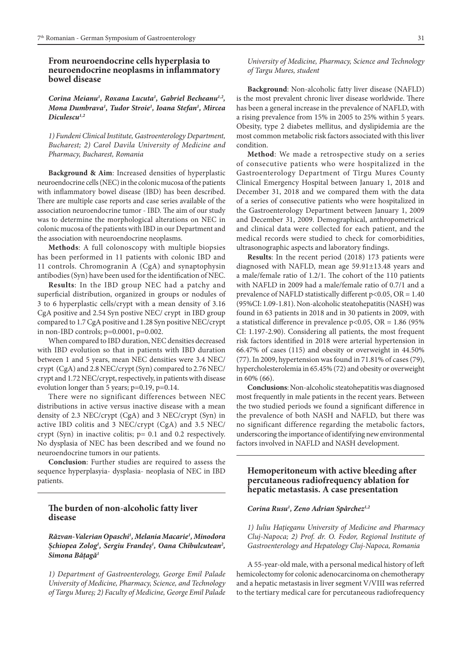## **From neuroendocrine cells hyperplasia to neuroendocrine neoplasms in inflammatory bowel disease**

*Corina Meianu1 , Roxana Lucuta1 , Gabriel Becheanu1,2, Mona Dumbrava1 , Tudor Stroie1 , Ioana Stefan1 , Mircea Diculescu1,2*

*1) Fundeni Clinical Institute, Gastroenterology Department, Bucharest; 2) Carol Davila University of Medicine and Pharmacy, Bucharest, Romania*

**Background & Aim**: Increased densities of hyperplastic neuroendocrine cells (NEC) in the colonic mucosa of the patients with inflammatory bowel disease (IBD) has been described. There are multiple case reports and case series available of the association neuroendocrine tumor - IBD. The aim of our study was to determine the morphological alterations on NEC in colonic mucosa of the patients with IBD in our Department and the association with neuroendocrine neoplasms.

**Methods**: A full colonoscopy with multiple biopsies has been performed in 11 patients with colonic IBD and 11 controls. Chromogranin A (CgA) and synaptophysin antibodies (Syn) have been used for the identification of NEC.

**Results**: In the IBD group NEC had a patchy and superficial distribution, organized in groups or nodules of 3 to 6 hyperplastic cells/crypt with a mean density of 3.16 CgA positive and 2.54 Syn postive NEC/ crypt in IBD group compared to 1.7 CgA positive and 1.28 Syn positive NEC/crypt in non-IBD controls; p=0.0001, p=0.002.

When compared to IBD duration, NEC densities decreased with IBD evolution so that in patients with IBD duration between 1 and 5 years, mean NEC densities were 3.4 NEC/ crypt (CgA) and 2.8 NEC/crypt (Syn) compared to 2.76 NEC/ crypt and 1.72 NEC/crypt, respectively, in patients with disease evolution longer than 5 years; p=0.19, p=0.14.

There were no significant differences between NEC distributions in active versus inactive disease with a mean density of 2.3 NEC/crypt (CgA) and 3 NEC/crypt (Syn) in active IBD colitis and 3 NEC/crypt (CgA) and 3.5 NEC/ crypt (Syn) in inactive colitis; p= 0.1 and 0.2 respectively. No dysplasia of NEC has been described and we found no neuroendocrine tumors in our patients.

**Conclusion**: Further studies are required to assess the sequence hyperplasyia- dysplasia- neoplasia of NEC in IBD patients.

## **The burden of non-alcoholic fatty liver disease**

## *Răzvan-Valerian Opaschi1 , Melania Macarie1 , Minodora Șchiopea Zolog1 , Sergiu Frandeș1 , Oana Chibulcutean2 , Simona Bățagă1*

*1) Department of Gastroenterology, George Emil Palade University of Medicine, Pharmacy, Science, and Technology of Targu Mureș; 2) Faculty of Medicine, George Emil Palade* 

*University of Medicine, Pharmacy, Science and Technology of Targu Mures, student*

**Background**: Non-alcoholic fatty liver disease (NAFLD) is the most prevalent chronic liver disease worldwide. There has been a general increase in the prevalence of NAFLD, with a rising prevalence from 15% in 2005 to 25% within 5 years. Obesity, type 2 diabetes mellitus, and dyslipidemia are the most common metabolic risk factors associated with this liver condition.

**Method**: We made a retrospective study on a series of consecutive patients who were hospitalized in the Gastroenterology Department of Tîrgu Mures County Clinical Emergency Hospital between January 1, 2018 and December 31, 2018 and we compared them with the data of a series of consecutive patients who were hospitalized in the Gastroenterology Department between January 1, 2009 and December 31, 2009. Demographical, anthropometrical and clinical data were collected for each patient, and the medical records were studied to check for comorbidities, ultrasonographic aspects and laboratory findings.

**Results**: In the recent period (2018) 173 patients were diagnosed with NAFLD, mean age 59.91±13.48 years and a male/female ratio of 1.2/1. The cohort of the 110 patients with NAFLD in 2009 had a male/female ratio of 0.7/1 and a prevalence of NAFLD statistically different p<0.05, OR = 1.40 (95%CI: 1.09-1.81). Non-alcoholic steatohepatitis (NASH) was found in 63 patients in 2018 and in 30 patients in 2009, with a statistical difference in prevalence  $p<0.05$ , OR = 1.86 (95%) CI: 1.197-2.90). Considering all patients, the most frequent risk factors identified in 2018 were arterial hypertension in 66.47% of cases (115) and obesity or overweight in 44.50% (77). In 2009, hypertension was found in 71.81% of cases (79), hypercholesterolemia in 65.45% (72) and obesity or overweight in 60% (66).

**Conclusions**: Non-alcoholic steatohepatitis was diagnosed most frequently in male patients in the recent years. Between the two studied periods we found a significant difference in the prevalence of both NASH and NAFLD, but there was no significant difference regarding the metabolic factors, underscoring the importance of identifying new environmental factors involved in NAFLD and NASH development.

# **Hemoperitoneum with active bleeding after percutaneous radiofrequency ablation for hepatic metastasis. A case presentation**

#### *Corina Rusu1 , Zeno Adrian Spârchez1,2*

*1) Iuliu Hațieganu University of Medicine and Pharmacy Cluj-Napoca; 2) Prof. dr. O. Fodor, Regional Institute of Gastroenterology and Hepatology Cluj-Napoca, Romania*

A 55-year-old male, with a personal medical history of left hemicolectomy for colonic adenocarcinoma on chemotherapy and a hepatic metastasis in liver segment V/VIII was referred to the tertiary medical care for percutaneous radiofrequency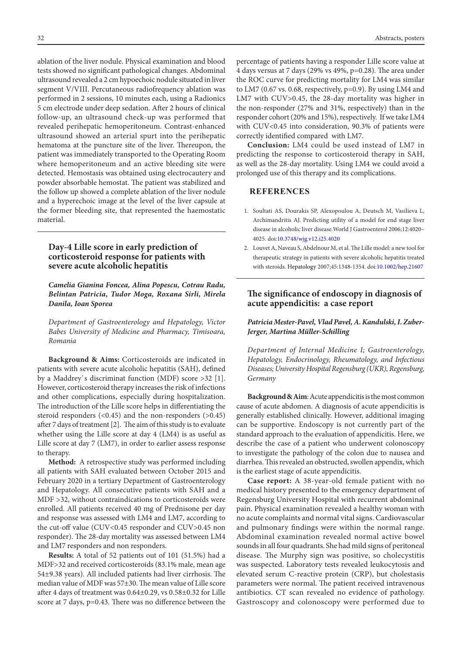ablation of the liver nodule. Physical examination and blood tests showed no significant pathological changes. Abdominal ultrasound revealed a 2 cm hypoechoic nodule situated in liver segment V/VIII. Percutaneous radiofrequency ablation was performed in 2 sessions, 10 minutes each, using a Radionics 5 cm electrode under deep sedation. After 2 hours of clinical follow-up, an ultrasound check-up was performed that revealed perihepatic hemoperitoneum. Contrast-enhanced ultrasound showed an arterial spurt into the perihepatic hematoma at the puncture site of the liver. Thereupon, the patient was immediately transported to the Operating Room where hemoperitoneum and an active bleeding site were detected. Hemostasis was obtained using electrocautery and powder absorbable hemostat. The patient was stabilized and the follow up showed a complete ablation of the liver nodule and a hyperechoic image at the level of the liver capsule at the former bleeding site, that represented the haemostatic material.

# **Day-4 Lille score in early prediction of corticosteroid response for patients with severe acute alcoholic hepatitis**

*Camelia Gianina Foncea, Alina Popescu, Cotrau Radu, Belintan Patricia, Tudor Moga, Roxana Sirli, Mirela Danila, Ioan Sporea*

*Department of Gastroenterology and Hepatology, Victor Babes University of Medicine and Pharmacy, Timisoara, Romania*

**Background & Aims:** Corticosteroids are indicated in patients with severe acute alcoholic hepatitis (SAH), defined by a Maddrey`s discriminat function (MDF) score >32 [1]. However, corticosteroid therapy increases the risk of infections and other complications, especially during hospitalization. The introduction of the Lille score helps in differentiating the steroid responders  $(\le 0.45)$  and the non-responders  $(\ge 0.45)$ after 7 days of treatment [2]. The aim of this study is to evaluate whether using the Lille score at day 4 (LM4) is as useful as Lille score at day 7 (LM7), in order to earlier assess response to therapy.

**Method:** A retrospective study was performed including all patients with SAH evaluated between October 2015 and February 2020 in a tertiary Department of Gastroenterology and Hepatology. All consecutive patients with SAH and a MDF >32, without contraindications to corticosteroids were enrolled. All patients received 40 mg of Prednisone per day and response was assessed with LM4 and LM7, according to the cut-off value (CUV<0.45 responder and CUV>0.45 non responder). The 28-day mortality was assessed between LM4 and LM7 responders and non responders.

**Results:** A total of 52 patients out of 101 (51.5%) had a MDF>32 and received corticosteroids (83.1% male, mean age 54±9.38 years). All included patients had liver cirrhosis. The median value of MDF was 57±30. The mean value of Lille score after 4 days of treatment was 0.64±0.29, vs 0.58±0.32 for Lille score at 7 days, p=0.43. There was no difference between the percentage of patients having a responder Lille score value at 4 days versus at 7 days (29% vs 49%, p=0.28). The area under the ROC curve for predicting mortality for LM4 was similar to LM7 (0.67 vs. 0.68, respectively, p=0.9). By using LM4 and LM7 with CUV>0.45, the 28-day mortality was higher in the non-responder (27% and 31%, respectively) than in the responder cohort (20% and 15%), respectively. If we take LM4 with CUV<0.45 into consideration, 90.3% of patients were correctly identified compared with LM7.

**Conclusion:** LM4 could be used instead of LM7 in predicting the response to corticosteroid therapy in SAH, as well as the 28-day mortality. Using LM4 we could avoid a prolonged use of this therapy and its complications.

# **REFERENCES**

- 1. Soultati AS, Dourakis SP, Alexopoulou A, Deutsch M, Vasilieva L, Archimandritis AJ. Predicting utility of a model for end stage liver disease in alcoholic liver disease[.World J Gastroenterol](https://www.ncbi.nlm.nih.gov/pmc/articles/PMC4087713/) 2006;12:4020– 4025. doi[:10.3748/wjg.v12.i25.4020](http://dx.doi.org/10.3748/wjg.v12.i25.4020)
- 2. [Louvet A,](https://www.ncbi.nlm.nih.gov/pubmed/?term=Louvet%2520A%255BAuthor%255D&cauthor=true&cauthor_uid=17518367) Naveau S, Abdelnour M, et al. The Lille model: a new tool for therapeutic strategy in patients with severe alcoholic hepatitis treated with steroids. [Hepatology](https://www.ncbi.nlm.nih.gov/pubmed/17518367) 2007;45:1348-1354. doi:[10.1002/hep.21607](https://doi.org/10.1002/hep.21607)

# **The significance of endoscopy in diagnosis of acute appendicitis: a case report**

## *Patricia Mester-Pavel, Vlad Pavel, A. Kandulski, I. Zuber-Jerger, Martina Müller-Schilling*

*Department of Internal Medicine I; Gastroenterology, Hepatology, Endocrinology, Rheumatology, and Infectious Diseases; University Hospital Regensburg (UKR), Regensburg, Germany*

**Background & Aim**: Acute appendicitis is the most common cause of acute abdomen. A diagnosis of acute appendicitis is generally established clinically. However, additional imaging can be supportive. Endoscopy is not currently part of the standard approach to the evaluation of appendicitis. Here, we describe the case of a patient who underwent colonoscopy to investigate the pathology of the colon due to nausea and diarrhea. This revealed an obstructed, swollen appendix, which is the earliest stage of acute appendicitis.

**Case report:** A 38-year-old female patient with no medical history presented to the emergency department of Regensburg University Hospital with recurrent abdominal pain. Physical examination revealed a healthy woman with no acute complaints and normal vital signs. Cardiovascular and pulmonary findings were within the normal range. Abdominal examination revealed normal active bowel sounds in all four quadrants. She had mild signs of peritoneal disease. The Murphy sign was positive, so cholecystitis was suspected. Laboratory tests revealed leukocytosis and elevated serum C-reactive protein (CRP), but cholestasis parameters were normal. The patient received intravenous antibiotics. CT scan revealed no evidence of pathology. Gastroscopy and colonoscopy were performed due to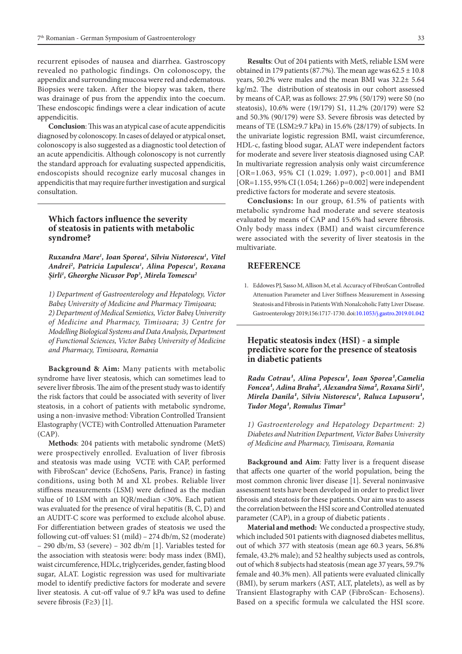recurrent episodes of nausea and diarrhea. Gastroscopy revealed no pathologic findings. On colonoscopy, the appendix and surrounding mucosa were red and edematous. Biopsies were taken. After the biopsy was taken, there was drainage of pus from the appendix into the coecum. These endoscopic findings were a clear indication of acute appendicitis.

**Conclusion**: This was an atypical case of acute appendicitis diagnosed by colonoscopy. In cases of delayed or atypical onset, colonoscopy is also suggested as a diagnostic tool detection of an acute appendicitis. Although colonoscopy is not currently the standard approach for evaluating suspected appendicitis, endoscopists should recognize early mucosal changes in appendicitis that may require further investigation and surgical consultation.

## **Which factors influence the severity of steatosis in patients with metabolic syndrome?**

*Ruxandra Mare1 , Ioan Sporea1 , Silviu Nistorescu1 , Vitel Andrei2 , Patricia Lupulescu1 , Alina Popescu1 , Roxana Șirli1 , Gheorghe Nicusor Pop3 , Mirela Tomescu2*

*1) Department of Gastroenterology and Hepatology, Victor Babeș University of Medicine and Pharmacy Timișoara; 2) Department of Medical Semiotics, Victor Babeş University of Medicine and Pharmacy, Timisoara; 3) Centre for Modelling Biological Systems and Data Analysis, Department of Functional Sciences, Victor Babeş University of Medicine and Pharmacy, Timisoara, Romania*

**Background & Aim:** Many patients with metabolic syndrome have liver steatosis, which can sometimes lead to severe liver fibrosis. The aim of the present study was to identify the risk factors that could be associated with severity of liver steatosis, in a cohort of patients with metabolic syndrome, using a non-invasive method: Vibration Controlled Transient Elastography (VCTE) with Controlled Attenuation Parameter (CAP).

**Methods**: 204 patients with metabolic syndrome (MetS) were prospectively enrolled. Evaluation of liver fibrosis and steatosis was made using VCTE with CAP, performed with FibroScan® device (EchoSens, Paris, France) in fasting conditions, using both M and XL probes. Reliable liver stiffness measurements (LSM) were defined as the median value of 10 LSM with an IQR/median <30%. Each patient was evaluated for the presence of viral hepatitis (B, C, D) and an AUDIT-C score was performed to exclude alcohol abuse. For differentiation between grades of steatosis we used the following cut-off values: S1 (mild) – 274 db/m, S2 (moderate) – 290 db/m, S3 (severe) – 302 db/m [1]. Variables tested for the association with steatosis were: body mass index (BMI), waist circumference, HDLc, triglycerides, gender, fasting blood sugar, ALAT. Logistic regression was used for multivariate model to identify predictive factors for moderate and severe liver steatosis. A cut-off value of 9.7 kPa was used to define severe fibrosis (F≥3) [1].

**Results**: Out of 204 patients with MetS, reliable LSM were obtained in 179 patients (87.7%). The mean age was  $62.5 \pm 10.8$ years, 50.2% were males and the mean BMI was 32.2± 5.64 kg/m2. The distribution of steatosis in our cohort assessed by means of CAP, was as follows: 27.9% (50/179) were S0 (no steatosis), 10.6% were (19/179) S1, 11.2% (20/179) were S2 and 50.3% (90/179) were S3. Severe fibrosis was detected by means of TE (LSM≥9.7 kPa) in 15.6% (28/179) of subjects. In the univariate logistic regression BMI, waist circumference, HDL-c, fasting blood sugar, ALAT were independent factors for moderate and severe liver steatosis diagnosed using CAP. In multivariate regression analysis only waist circumference [OR=1.063, 95% CI (1.029; 1.097), p<0.001] and BMI [OR=1.155, 95% CI (1.054; 1.266) p=0.002] were independent predictive factors for moderate and severe steatosis.

**Conclusions:** In our group, 61.5% of patients with metabolic syndrome had moderate and severe steatosis evaluated by means of CAP and 15.6% had severe fibrosis. Only body mass index (BMI) and waist circumference were associated with the severity of liver steatosis in the multivariate.

### **REFERENCE**

1. Eddowes PJ, Sasso M, Allison M, et al. Accuracy of FibroScan Controlled Attenuation Parameter and Liver Stiffness Measurement in Assessing Steatosis and Fibrosis in Patients With Nonalcoholic Fatty Liver Disease. Gastroenterology 2019;156:1717-1730. doi:10.1053/j.gastro.2019.01.042

## **Hepatic steatosis index (HSI) - a simple predictive score for the presence of steatosis in diabetic patients**

*Radu Cotrau<sup>1</sup>, Alina Popescu<sup>1</sup>, Ioan Sporea<sup>1</sup>, Camelia Foncea<sup>1</sup>*, Adina Braha<sup>2</sup>, Alexandra Sima<sup>2</sup>, Roxana Sirli<sup>1</sup>, *Mirela Danila<sup>1</sup>*, Silviu Nistorescu<sup>1</sup>, Raluca Lupusoru<sup>1</sup>, *Tudor Moga¹, Romulus Timar²*

*1) Gastroenterology and Hepatology Department: 2) Diabetes and Nutrition Department, Victor Babes University of Medicine and Pharmacy, Timisoara, Romania*

**Background and Aim**: Fatty liver is a frequent disease that affects one quarter of the world population, being the most common chronic liver disease [1]. Several noninvasive assessment tests have been developed in order to predict liver fibrosis and steatosis for these patients. Our aim was to assess the correlation between the HSI score and Controlled atenuated parameter (CAP), in a group of diabetic patients .

**Material and method:** We conducted a prospective study, which included 501 patients with diagnosed diabetes mellitus, out of which 377 with steatosis (mean age 60.3 years, 56.8% female, 43.2% male); and 52 healthy subjects used as controls, out of which 8 subjects had steatosis (mean age 37 years, 59.7% female and 40.3% men). All patients were evaluated clinically (BMI), by serum markers (AST, ALT, platelets), as well as by Transient Elastography with CAP (FibroScan- Echosens). Based on a specific formula we calculated the HSI score.